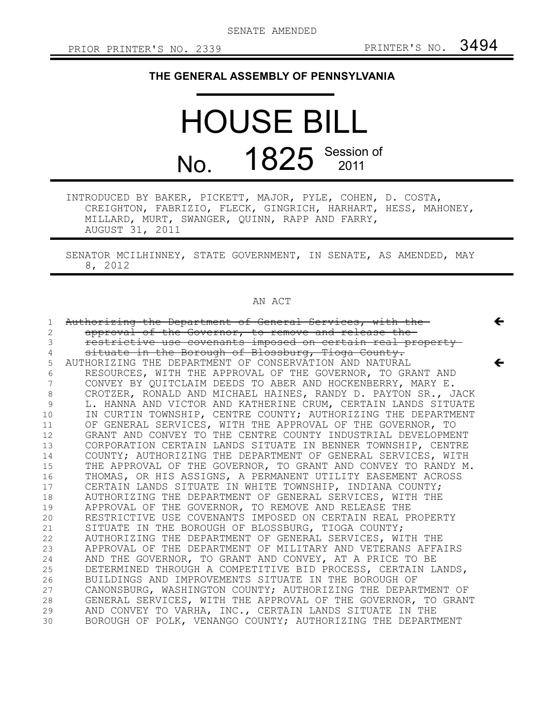$\leftarrow$ 

 $\leftarrow$ 

# **THE GENERAL ASSEMBLY OF PENNSYLVANIA**

# HOUSE BILL No. 1825 Session of

INTRODUCED BY BAKER, PICKETT, MAJOR, PYLE, COHEN, D. COSTA, CREIGHTON, FABRIZIO, FLECK, GINGRICH, HARHART, HESS, MAHONEY, MILLARD, MURT, SWANGER, QUINN, RAPP AND FARRY, AUGUST 31, 2011

SENATOR MCILHINNEY, STATE GOVERNMENT, IN SENATE, AS AMENDED, MAY 8, 2012

## AN ACT

| 1              | Authorizing the Department of General Services, with the      |
|----------------|---------------------------------------------------------------|
| $\overline{2}$ | approval of the Governor, to remove and release the-          |
| 3              | restrictive use covenants imposed on certain real property-   |
| 4              | situate in the Borough of Blossburg, Tioga County.            |
| 5              | AUTHORIZING THE DEPARTMENT OF CONSERVATION AND NATURAL        |
| 6              | RESOURCES, WITH THE APPROVAL OF THE GOVERNOR, TO GRANT AND    |
| 7              | CONVEY BY QUITCLAIM DEEDS TO ABER AND HOCKENBERRY, MARY E.    |
| 8              | CROTZER, RONALD AND MICHAEL HAINES, RANDY D. PAYTON SR., JACK |
| 9              | L. HANNA AND VICTOR AND KATHERINE CRUM, CERTAIN LANDS SITUATE |
| 10             | IN CURTIN TOWNSHIP, CENTRE COUNTY; AUTHORIZING THE DEPARTMENT |
| 11             | OF GENERAL SERVICES, WITH THE APPROVAL OF THE GOVERNOR, TO    |
| 12             | GRANT AND CONVEY TO THE CENTRE COUNTY INDUSTRIAL DEVELOPMENT  |
| 13             | CORPORATION CERTAIN LANDS SITUATE IN BENNER TOWNSHIP, CENTRE  |
| 14             | COUNTY; AUTHORIZING THE DEPARTMENT OF GENERAL SERVICES, WITH  |
| 15             | THE APPROVAL OF THE GOVERNOR, TO GRANT AND CONVEY TO RANDY M. |
| 16             | THOMAS, OR HIS ASSIGNS, A PERMANENT UTILITY EASEMENT ACROSS   |
| 17             | CERTAIN LANDS SITUATE IN WHITE TOWNSHIP, INDIANA COUNTY;      |
| 18             | AUTHORIZING THE DEPARTMENT OF GENERAL SERVICES, WITH THE      |
| 19             | APPROVAL OF THE GOVERNOR, TO REMOVE AND RELEASE THE           |
| 20             | RESTRICTIVE USE COVENANTS IMPOSED ON CERTAIN REAL PROPERTY    |
| 21             | SITUATE IN THE BOROUGH OF BLOSSBURG, TIOGA COUNTY;            |
| 22             | AUTHORIZING THE DEPARTMENT OF GENERAL SERVICES, WITH THE      |
| 23             | APPROVAL OF THE DEPARTMENT OF MILITARY AND VETERANS AFFAIRS   |
| 24             | AND THE GOVERNOR, TO GRANT AND CONVEY, AT A PRICE TO BE       |
| 25             | DETERMINED THROUGH A COMPETITIVE BID PROCESS, CERTAIN LANDS,  |
| 26             | BUILDINGS AND IMPROVEMENTS SITUATE IN THE BOROUGH OF          |
| 27             | CANONSBURG, WASHINGTON COUNTY; AUTHORIZING THE DEPARTMENT OF  |
| 28             | GENERAL SERVICES, WITH THE APPROVAL OF THE GOVERNOR, TO GRANT |
| 29             | AND CONVEY TO VARHA, INC., CERTAIN LANDS SITUATE IN THE       |
| 30             | BOROUGH OF POLK, VENANGO COUNTY; AUTHORIZING THE DEPARTMENT   |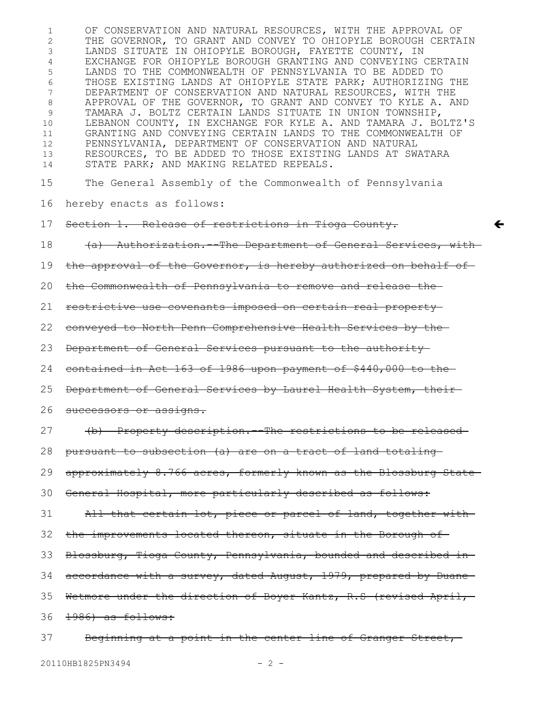OF CONSERVATION AND NATURAL RESOURCES, WITH THE APPROVAL OF THE GOVERNOR, TO GRANT AND CONVEY TO OHIOPYLE BOROUGH CERTAIN LANDS SITUATE IN OHIOPYLE BOROUGH, FAYETTE COUNTY, IN EXCHANGE FOR OHIOPYLE BOROUGH GRANTING AND CONVEYING CERTAIN LANDS TO THE COMMONWEALTH OF PENNSYLVANIA TO BE ADDED TO THOSE EXISTING LANDS AT OHIOPYLE STATE PARK; AUTHORIZING THE DEPARTMENT OF CONSERVATION AND NATURAL RESOURCES, WITH THE APPROVAL OF THE GOVERNOR, TO GRANT AND CONVEY TO KYLE A. AND TAMARA J. BOLTZ CERTAIN LANDS SITUATE IN UNION TOWNSHIP, LEBANON COUNTY, IN EXCHANGE FOR KYLE A. AND TAMARA J. BOLTZ'S GRANTING AND CONVEYING CERTAIN LANDS TO THE COMMONWEALTH OF PENNSYLVANIA, DEPARTMENT OF CONSERVATION AND NATURAL RESOURCES, TO BE ADDED TO THOSE EXISTING LANDS AT SWATARA STATE PARK; AND MAKING RELATED REPEALS. The General Assembly of the Commonwealth of Pennsylvania hereby enacts as follows: Section 1. Release of restrictions in Tioga County. (a) Authorization.--The Department of General Services, with the approval of the Governor, is hereby authorized on behalf of the Commonwealth of Pennsylvania to remove and release the restrictive use covenants imposed on certain real property conveyed to North Penn Comprehensive Health Services by the Department of General Services pursuant to the authority contained in Act 163 of 1986 upon payment of \$440,000 to the Department of General Services by Laurel Health System, their successors or assigns. (b) Property description.--The restrictions to be released pursuant to subsection (a) are on a tract of land totaling approximately 8.766-acres, formerly known as the Blossburg State General Hospital, more particularly described as follows: All that certain lot, piece or parcel of land, together with the improvements located thereon, situate in the Borough of-Blossburg, Tioga County, Pennsylvania, bounded and described in accordance with a survey, dated August, 1979, prepared by Duane-Wetmore under the direction of Boyer Kantz, R.S (revised April, 36 <del>1986) as follows:</del> Beginning at a point in the center line of Granger Street,  $\leftarrow$ 1 2 3 4 5 6 7 8 9 10 11 12 13 14 15 16 17 18 19 20 21 22 23 24 25 26 27 28 29 30 31 32 33 34 35 37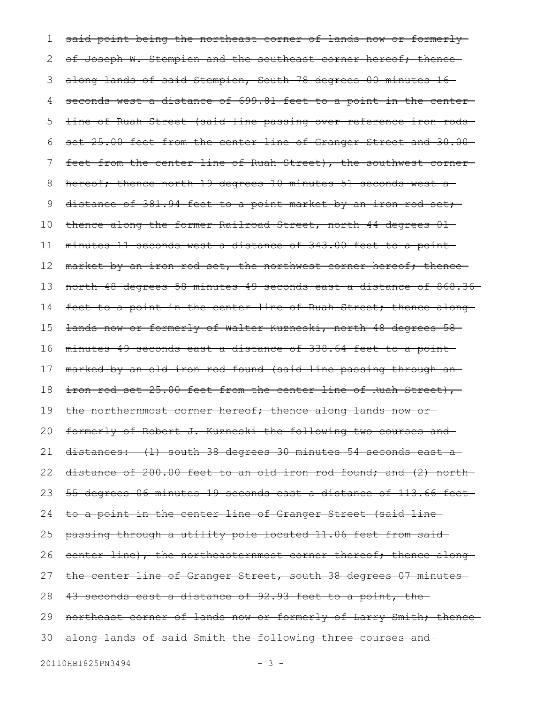said point being the northeast corner of lands now or formerlyof Joseph W. Stempien and the southeast corner hereof; thencealong lands of said Stempien, South 78 degrees 00 minutes 16 seconds west a distance of 699.81 feet to a point in the centerline of Ruah Street (said line passing over reference iron rods set 25.00 feet from the center line of Granger Street and 30.00feet from the center line of Ruah Street), the southwest corner hereof; thence north 19 degrees 10 minutes 51 seconds west a distance of 381.94 feet to a point market by an iron rod set; thence along the former Railroad Street, north 44 degrees 01 minutes 11 seconds west a distance of 343.00 feet to a point market by an iron rod set, the northwest corner hereof; thencenorth 48 degrees 58 minutes 49 seconds east a distance of 868.36 feet to a point in the center line of Ruah Street; thence alonglands now or formerly of Walter Kuzneski, north 48 degrees 58 minutes 49 seconds east a distance of 338.64 feet to a point marked by an old iron rod found (said line passing through an iron rod set 25.00 feet from the center line of Ruah Street), the northernmost corner hereof; thence along lands now orformerly of Robert J. Kuzneski the following two courses and distances: (1) south 38 degrees 30 minutes 54 seconds east a distance of 200.00 feet to an old iron rod found; and (2) north 55 degrees 06 minutes 19 seconds east a distance of 113.66 feet to a point in the center line of Granger Street (said line passing through a utility pole located 11.06 feet from said center line), the northeasternmost corner thereof; thence along the center line of Granger Street, south 38 degrees 07 minutes 43 seconds east a distance of 92.93 feet to a point, the northeast corner of lands now or formerly of Larry Smith; thencealong lands of said Smith the following three courses and 301 2 3 4 5 6 7 8 9 10 11 12 13 14 15 16 17 18 19 20 21 22 23 24 25 26 27 28 29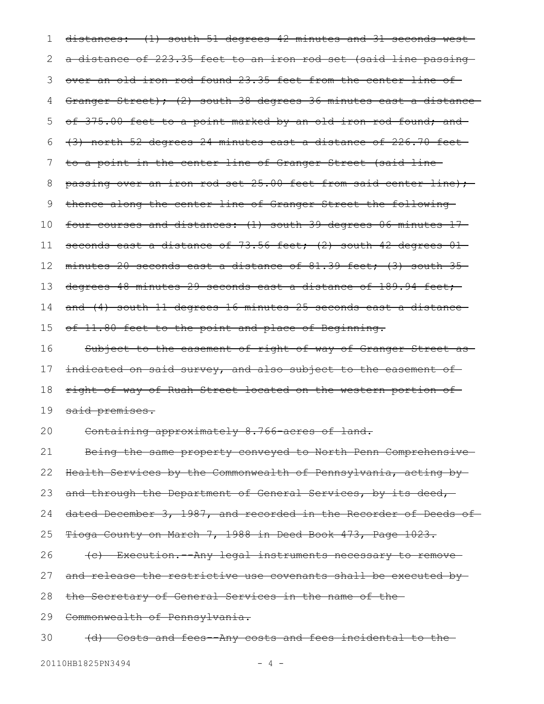distances: (1) south 51 degrees 42 minutes and 31 seconds west a distance of 223.35 feet to an iron rod set (said line passing over an old iron rod found 23.35 feet from the center line of Granger Street); (2) south 38 degrees 36 minutes east a distance of 375.00 feet to a point marked by an old iron rod found; and (3) north 52 degrees 24 minutes east a distance of 226.70 feet to a point in the center line of Granger Street (said line passing over an iron rod set 25.00 feet from said center line); thence along the center line of Granger Street the following four courses and distances: (1) south 39 degrees 06 minutes 17 seconds east a distance of 73.56 feet; (2) south 42 degrees 01minutes 20 seconds east a distance of 81.39 feet; (3) south 35 degrees 48 minutes 29 seconds east a distance of 189.94 feet; and (4) south 11 degrees 16 minutes 25 seconds east a distance of 11.80 feet to the point and place of Beginning. Subject to the easement of right of way of Granger Street as indicated on said survey, and also subject to the easement of right-of-way of Ruah Street located on the western portion of said premises. Containing approximately 8.766-acres of land. Being the same property conveyed to North Penn Comprehensive Health Services by the Commonwealth of Pennsylvania, acting by and through the Department of General Services, by its deed, dated December 3, 1987, and recorded in the Recorder of Deeds of-Tioga County on March 7, 1988 in Deed Book 473, Page 1023. (c) Execution.--Any legal instruments necessary to remove and release the restrictive use covenants shall be executed bythe Secretary of General Services in the name of the Commonwealth of Pennsylvania. (d) Costs and fees--Any costs and fees incidental to the 1 2 3 4 5 6 7 8 9 10 11 12 13 14 15 16 17 18 19 20 21 22 23 24 25 26 27 28 29 30

20110HB1825PN3494 - 4 -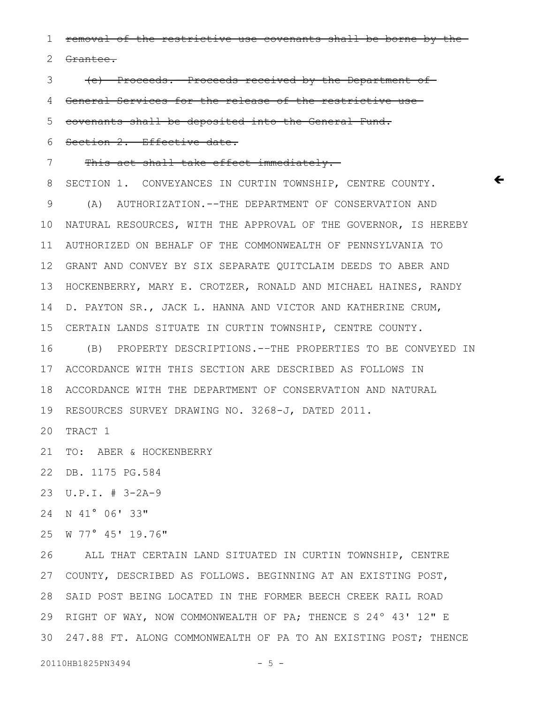removal of the restrictive use covenants shall be borne by the 1

Grantee. 2

(e) Proceeds.--Proceeds received by the Department of 3

General Services for the release of the restrictive use 4

covenants shall be deposited into the General Fund. 5

Section 2. Effective date. 6

This act shall take effect immediately. 7

SECTION 1. CONVEYANCES IN CURTIN TOWNSHIP, CENTRE COUNTY. (A) AUTHORIZATION.--THE DEPARTMENT OF CONSERVATION AND NATURAL RESOURCES, WITH THE APPROVAL OF THE GOVERNOR, IS HEREBY AUTHORIZED ON BEHALF OF THE COMMONWEALTH OF PENNSYLVANIA TO GRANT AND CONVEY BY SIX SEPARATE QUITCLAIM DEEDS TO ABER AND 12 HOCKENBERRY, MARY E. CROTZER, RONALD AND MICHAEL HAINES, RANDY D. PAYTON SR., JACK L. HANNA AND VICTOR AND KATHERINE CRUM, CERTAIN LANDS SITUATE IN CURTIN TOWNSHIP, CENTRE COUNTY. 8 9 10 11 13 14 15

 $\bm{\leftarrow}$ 

(B) PROPERTY DESCRIPTIONS.-–THE PROPERTIES TO BE CONVEYED IN ACCORDANCE WITH THIS SECTION ARE DESCRIBED AS FOLLOWS IN 17 18 ACCORDANCE WITH THE DEPARTMENT OF CONSERVATION AND NATURAL RESOURCES SURVEY DRAWING NO. 3268-J, DATED 2011. 19 16

20 TRACT 1

21 TO: ABER & HOCKENBERRY

DB. 1175 PG.584 22

U.P.I. # 3-2A-9 23

24 N 41° 06' 33"

25 W 77° 45' 19.76"

ALL THAT CERTAIN LAND SITUATED IN CURTIN TOWNSHIP, CENTRE COUNTY, DESCRIBED AS FOLLOWS. BEGINNING AT AN EXISTING POST, 27 28 SAID POST BEING LOCATED IN THE FORMER BEECH CREEK RAIL ROAD 29 RIGHT OF WAY, NOW COMMONWEALTH OF PA; THENCE S 24° 43' 12" E 247.88 FT. ALONG COMMONWEALTH OF PA TO AN EXISTING POST; THENCE 3026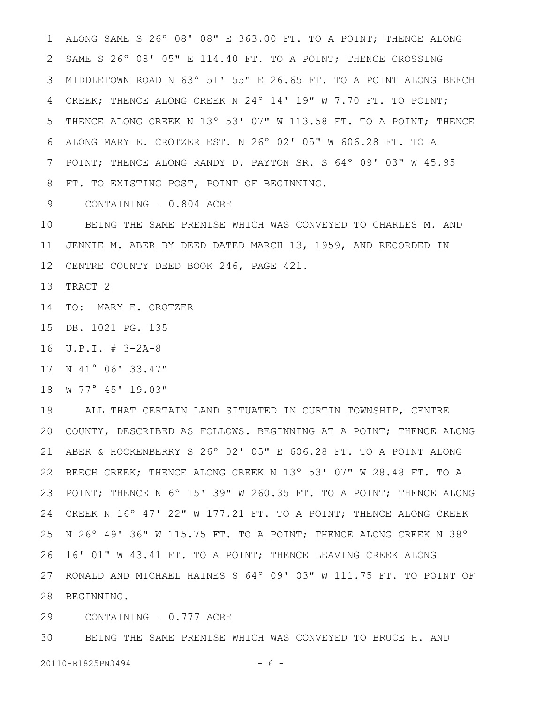ALONG SAME S 26º 08' 08" E 363.00 FT. TO A POINT; THENCE ALONG SAME S 26º 08' 05" E 114.40 FT. TO A POINT; THENCE CROSSING MIDDLETOWN ROAD N 63º 51' 55" E 26.65 FT. TO A POINT ALONG BEECH 3 CREEK; THENCE ALONG CREEK N 24º 14' 19" W 7.70 FT. TO POINT; THENCE ALONG CREEK N 13º 53' 07" W 113.58 FT. TO A POINT; THENCE ALONG MARY E. CROTZER EST. N 26º 02' 05" W 606.28 FT. TO A POINT; THENCE ALONG RANDY D. PAYTON SR. S 64º 09' 03" W 45.95 FT. TO EXISTING POST, POINT OF BEGINNING. 1 2 4 5 6 7 8

CONTAINING – 0.804 ACRE 9

BEING THE SAME PREMISE WHICH WAS CONVEYED TO CHARLES M. AND JENNIE M. ABER BY DEED DATED MARCH 13, 1959, AND RECORDED IN CENTRE COUNTY DEED BOOK 246, PAGE 421. 12 10 11

13 TRACT 2

14 TO: MARY E. CROTZER

15 DB. 1021 PG. 135

U.P.I. # 3-2A-8 16

17 N 41° 06' 33.47"

W 77° 45' 19.03" 18

ALL THAT CERTAIN LAND SITUATED IN CURTIN TOWNSHIP, CENTRE 20 COUNTY, DESCRIBED AS FOLLOWS. BEGINNING AT A POINT; THENCE ALONG ABER & HOCKENBERRY S 26º 02' 05" E 606.28 FT. TO A POINT ALONG 22 BEECH CREEK; THENCE ALONG CREEK N 13° 53' 07" W 28.48 FT. TO A 23 POINT; THENCE N 6° 15' 39" W 260.35 FT. TO A POINT; THENCE ALONG CREEK N 16º 47' 22" W 177.21 FT. TO A POINT; THENCE ALONG CREEK N 26º 49' 36" W 115.75 FT. TO A POINT; THENCE ALONG CREEK N 38º 16' 01" W 43.41 FT. TO A POINT; THENCE LEAVING CREEK ALONG 27 RONALD AND MICHAEL HAINES S 64° 09' 03" W 111.75 FT. TO POINT OF 28 BEGINNING. 19 21 24 25 26

CONTAINING – 0.777 ACRE 29

BEING THE SAME PREMISE WHICH WAS CONVEYED TO BRUCE H. AND 30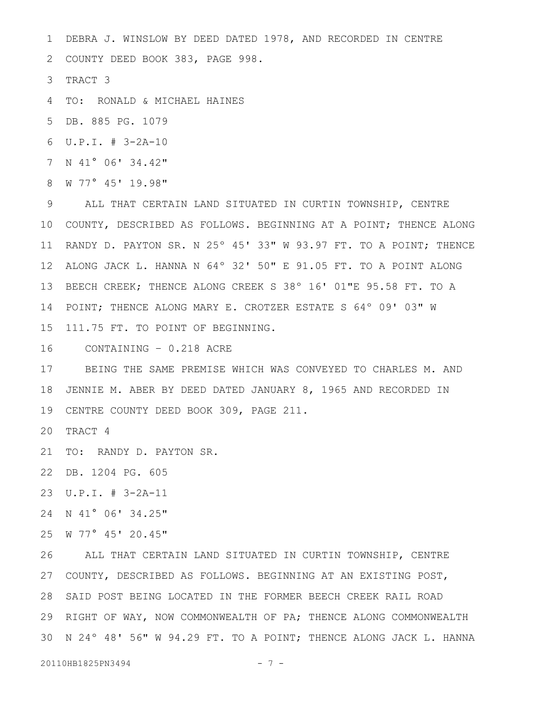DEBRA J. WINSLOW BY DEED DATED 1978, AND RECORDED IN CENTRE 1

2 COUNTY DEED BOOK 383, PAGE 998.

3 TRACT 3

TO: RONALD & MICHAEL HAINES 4

DB. 885 PG. 1079 5

U.P.I. # 3-2A-10 6

7 N 41° 06' 34.42"

W 77° 45' 19.98" 8

ALL THAT CERTAIN LAND SITUATED IN CURTIN TOWNSHIP, CENTRE 10 COUNTY, DESCRIBED AS FOLLOWS. BEGINNING AT A POINT; THENCE ALONG 11 RANDY D. PAYTON SR. N 25° 45' 33" W 93.97 FT. TO A POINT; THENCE ALONG JACK L. HANNA N 64º 32' 50" E 91.05 FT. TO A POINT ALONG 12 13 BEECH CREEK; THENCE ALONG CREEK S 38° 16' 01"E 95.58 FT. TO A 14 POINT; THENCE ALONG MARY E. CROTZER ESTATE S 64° 09' 03" W 15 111.75 FT. TO POINT OF BEGINNING. 9

CONTAINING – 0.218 ACRE 16

BEING THE SAME PREMISE WHICH WAS CONVEYED TO CHARLES M. AND JENNIE M. ABER BY DEED DATED JANUARY 8, 1965 AND RECORDED IN 18 CENTRE COUNTY DEED BOOK 309, PAGE 211. 19 17

20 TRACT 4

21 TO: RANDY D. PAYTON SR.

DB. 1204 PG. 605 22

U.P.I. # 3-2A-11 23

24 N 41° 06' 34.25"

25 W 77° 45' 20.45"

ALL THAT CERTAIN LAND SITUATED IN CURTIN TOWNSHIP, CENTRE COUNTY, DESCRIBED AS FOLLOWS. BEGINNING AT AN EXISTING POST, 27 28 SAID POST BEING LOCATED IN THE FORMER BEECH CREEK RAIL ROAD 29 RIGHT OF WAY, NOW COMMONWEALTH OF PA; THENCE ALONG COMMONWEALTH 30 N 24° 48' 56" W 94.29 FT. TO A POINT; THENCE ALONG JACK L. HANNA 26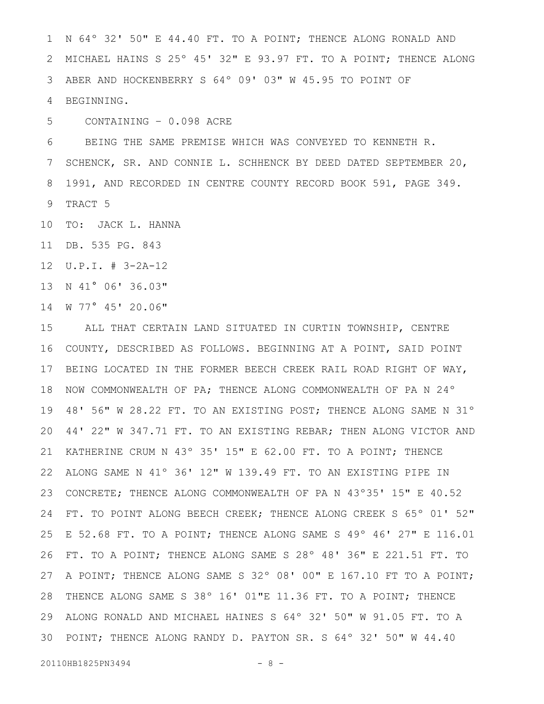N 64º 32' 50" E 44.40 FT. TO A POINT; THENCE ALONG RONALD AND MICHAEL HAINS S 25º 45' 32" E 93.97 FT. TO A POINT; THENCE ALONG ABER AND HOCKENBERRY S 64º 09' 03" W 45.95 TO POINT OF BEGINNING. 1 2 3 4

CONTAINING – 0.098 ACRE 5

BEING THE SAME PREMISE WHICH WAS CONVEYED TO KENNETH R. SCHENCK, SR. AND CONNIE L. SCHHENCK BY DEED DATED SEPTEMBER 20, 1991, AND RECORDED IN CENTRE COUNTY RECORD BOOK 591, PAGE 349. TRACT 5 6 7 8 9

10 TO: JACK L. HANNA

DB. 535 PG. 843 11

U.P.I. # 3-2A-12 12

13 N 41° 06' 36.03"

14 W 77° 45' 20.06"

ALL THAT CERTAIN LAND SITUATED IN CURTIN TOWNSHIP, CENTRE COUNTY, DESCRIBED AS FOLLOWS. BEGINNING AT A POINT, SAID POINT BEING LOCATED IN THE FORMER BEECH CREEK RAIL ROAD RIGHT OF WAY, 17 18 NOW COMMONWEALTH OF PA; THENCE ALONG COMMONWEALTH OF PA N 24° 48' 56" W 28.22 FT. TO AN EXISTING POST; THENCE ALONG SAME N 31º 44' 22" W 347.71 FT. TO AN EXISTING REBAR; THEN ALONG VICTOR AND KATHERINE CRUM N 43º 35' 15" E 62.00 FT. TO A POINT; THENCE ALONG SAME N 41º 36' 12" W 139.49 FT. TO AN EXISTING PIPE IN CONCRETE; THENCE ALONG COMMONWEALTH OF PA N 43º35' 15" E 40.52 FT. TO POINT ALONG BEECH CREEK; THENCE ALONG CREEK S 65º 01' 52" E 52.68 FT. TO A POINT; THENCE ALONG SAME S 49º 46' 27" E 116.01 FT. TO A POINT; THENCE ALONG SAME S 28º 48' 36" E 221.51 FT. TO 27 A POINT; THENCE ALONG SAME S 32° 08' 00" E 167.10 FT TO A POINT; 28 THENCE ALONG SAME S 38° 16' 01"E 11.36 FT. TO A POINT; THENCE ALONG RONALD AND MICHAEL HAINES S 64º 32' 50" W 91.05 FT. TO A 29 POINT; THENCE ALONG RANDY D. PAYTON SR. S 64º 32' 50" W 44.40 3015 16 19 20 21 22 23 24 25 26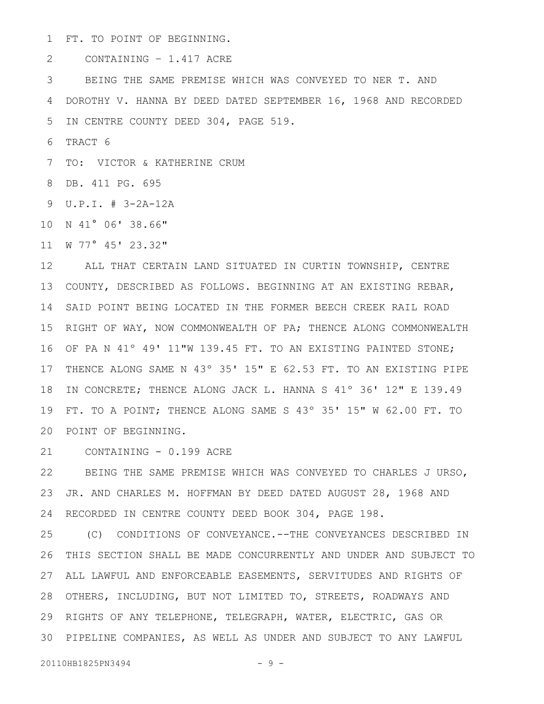FT. TO POINT OF BEGINNING. 1

CONTAINING – 1.417 ACRE 2

BEING THE SAME PREMISE WHICH WAS CONVEYED TO NER T. AND DOROTHY V. HANNA BY DEED DATED SEPTEMBER 16, 1968 AND RECORDED IN CENTRE COUNTY DEED 304, PAGE 519. 3 4 5

TRACT 6 6

7 TO: VICTOR & KATHERINE CRUM

DB. 411 PG. 695 8

U.P.I. # 3-2A-12A 9

10 N 41° 06' 38.66"

W 77° 45' 23.32" 11

ALL THAT CERTAIN LAND SITUATED IN CURTIN TOWNSHIP, CENTRE 12 COUNTY, DESCRIBED AS FOLLOWS. BEGINNING AT AN EXISTING REBAR, 13 SAID POINT BEING LOCATED IN THE FORMER BEECH CREEK RAIL ROAD 14 15 RIGHT OF WAY, NOW COMMONWEALTH OF PA; THENCE ALONG COMMONWEALTH OF PA N 41º 49' 11"W 139.45 FT. TO AN EXISTING PAINTED STONE; 16 17 THENCE ALONG SAME N 43° 35' 15" E 62.53 FT. TO AN EXISTING PIPE 18 IN CONCRETE; THENCE ALONG JACK L. HANNA S 41° 36' 12" E 139.49 19 FT. TO A POINT; THENCE ALONG SAME S 43° 35' 15" W 62.00 FT. TO POINT OF BEGINNING. 20

CONTAINING - 0.199 ACRE 21

BEING THE SAME PREMISE WHICH WAS CONVEYED TO CHARLES J URSO, JR. AND CHARLES M. HOFFMAN BY DEED DATED AUGUST 28, 1968 AND RECORDED IN CENTRE COUNTY DEED BOOK 304, PAGE 198. 22 23 24

(C) CONDITIONS OF CONVEYANCE.--THE CONVEYANCES DESCRIBED IN THIS SECTION SHALL BE MADE CONCURRENTLY AND UNDER AND SUBJECT TO ALL LAWFUL AND ENFORCEABLE EASEMENTS, SERVITUDES AND RIGHTS OF 27 OTHERS, INCLUDING, BUT NOT LIMITED TO, STREETS, ROADWAYS AND 28 29 RIGHTS OF ANY TELEPHONE, TELEGRAPH, WATER, ELECTRIC, GAS OR PIPELINE COMPANIES, AS WELL AS UNDER AND SUBJECT TO ANY LAWFUL 3025 26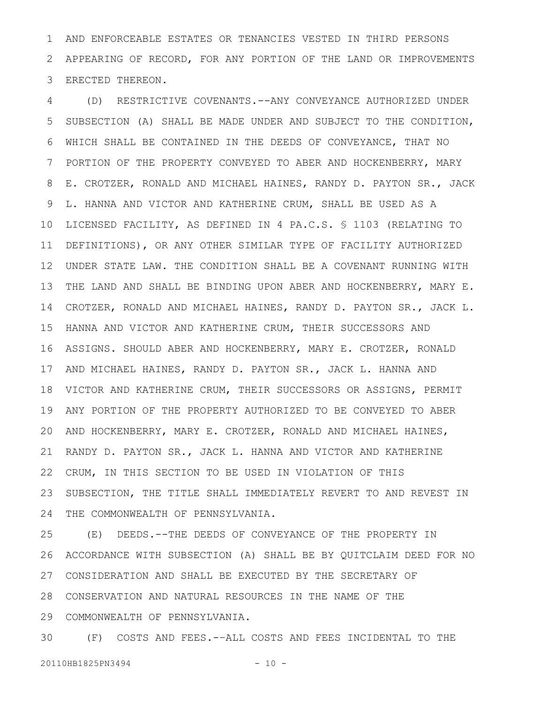AND ENFORCEABLE ESTATES OR TENANCIES VESTED IN THIRD PERSONS APPEARING OF RECORD, FOR ANY PORTION OF THE LAND OR IMPROVEMENTS ERECTED THEREON. 1 2 3

(D) RESTRICTIVE COVENANTS.--ANY CONVEYANCE AUTHORIZED UNDER SUBSECTION (A) SHALL BE MADE UNDER AND SUBJECT TO THE CONDITION, WHICH SHALL BE CONTAINED IN THE DEEDS OF CONVEYANCE, THAT NO PORTION OF THE PROPERTY CONVEYED TO ABER AND HOCKENBERRY, MARY E. CROTZER, RONALD AND MICHAEL HAINES, RANDY D. PAYTON SR., JACK L. HANNA AND VICTOR AND KATHERINE CRUM, SHALL BE USED AS A LICENSED FACILITY, AS DEFINED IN 4 PA.C.S. § 1103 (RELATING TO DEFINITIONS), OR ANY OTHER SIMILAR TYPE OF FACILITY AUTHORIZED UNDER STATE LAW. THE CONDITION SHALL BE A COVENANT RUNNING WITH THE LAND AND SHALL BE BINDING UPON ABER AND HOCKENBERRY, MARY E. CROTZER, RONALD AND MICHAEL HAINES, RANDY D. PAYTON SR., JACK L. HANNA AND VICTOR AND KATHERINE CRUM, THEIR SUCCESSORS AND ASSIGNS. SHOULD ABER AND HOCKENBERRY, MARY E. CROTZER, RONALD 16 17 AND MICHAEL HAINES, RANDY D. PAYTON SR., JACK L. HANNA AND VICTOR AND KATHERINE CRUM, THEIR SUCCESSORS OR ASSIGNS, PERMIT 18 ANY PORTION OF THE PROPERTY AUTHORIZED TO BE CONVEYED TO ABER AND HOCKENBERRY, MARY E. CROTZER, RONALD AND MICHAEL HAINES, RANDY D. PAYTON SR., JACK L. HANNA AND VICTOR AND KATHERINE CRUM, IN THIS SECTION TO BE USED IN VIOLATION OF THIS SUBSECTION, THE TITLE SHALL IMMEDIATELY REVERT TO AND REVEST IN THE COMMONWEALTH OF PENNSYLVANIA. 4 5 6 7 8 9 10 11 12 13 14 15 19 20 21 22 23 24

(E) DEEDS.--THE DEEDS OF CONVEYANCE OF THE PROPERTY IN ACCORDANCE WITH SUBSECTION (A) SHALL BE BY QUITCLAIM DEED FOR NO CONSIDERATION AND SHALL BE EXECUTED BY THE SECRETARY OF 27 CONSERVATION AND NATURAL RESOURCES IN THE NAME OF THE 28 COMMONWEALTH OF PENNSYLVANIA. 29 25 26

(F) COSTS AND FEES.-–ALL COSTS AND FEES INCIDENTAL TO THE 20110HB1825PN3494 - 10 -30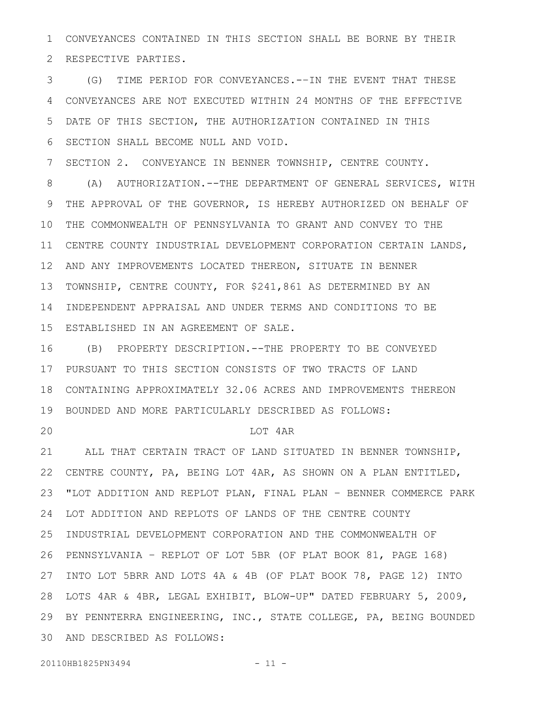CONVEYANCES CONTAINED IN THIS SECTION SHALL BE BORNE BY THEIR RESPECTIVE PARTIES. 1 2

(G) TIME PERIOD FOR CONVEYANCES.-–IN THE EVENT THAT THESE CONVEYANCES ARE NOT EXECUTED WITHIN 24 MONTHS OF THE EFFECTIVE DATE OF THIS SECTION, THE AUTHORIZATION CONTAINED IN THIS SECTION SHALL BECOME NULL AND VOID. 3 4 5 6

SECTION 2. CONVEYANCE IN BENNER TOWNSHIP, CENTRE COUNTY. 7

(A) AUTHORIZATION.--THE DEPARTMENT OF GENERAL SERVICES, WITH THE APPROVAL OF THE GOVERNOR, IS HEREBY AUTHORIZED ON BEHALF OF THE COMMONWEALTH OF PENNSYLVANIA TO GRANT AND CONVEY TO THE CENTRE COUNTY INDUSTRIAL DEVELOPMENT CORPORATION CERTAIN LANDS, AND ANY IMPROVEMENTS LOCATED THEREON, SITUATE IN BENNER TOWNSHIP, CENTRE COUNTY, FOR \$241,861 AS DETERMINED BY AN INDEPENDENT APPRAISAL AND UNDER TERMS AND CONDITIONS TO BE ESTABLISHED IN AN AGREEMENT OF SALE. 8 9 10 11 12 13 14 15

(B) PROPERTY DESCRIPTION.--THE PROPERTY TO BE CONVEYED PURSUANT TO THIS SECTION CONSISTS OF TWO TRACTS OF LAND CONTAINING APPROXIMATELY 32.06 ACRES AND IMPROVEMENTS THEREON BOUNDED AND MORE PARTICULARLY DESCRIBED AS FOLLOWS: 16 17 18 19

20

#### LOT 4AR

ALL THAT CERTAIN TRACT OF LAND SITUATED IN BENNER TOWNSHIP, CENTRE COUNTY, PA, BEING LOT 4AR, AS SHOWN ON A PLAN ENTITLED, "LOT ADDITION AND REPLOT PLAN, FINAL PLAN – BENNER COMMERCE PARK LOT ADDITION AND REPLOTS OF LANDS OF THE CENTRE COUNTY INDUSTRIAL DEVELOPMENT CORPORATION AND THE COMMONWEALTH OF PENNSYLVANIA – REPLOT OF LOT 5BR (OF PLAT BOOK 81, PAGE 168) 26 27 INTO LOT 5BRR AND LOTS 4A & 4B (OF PLAT BOOK 78, PAGE 12) INTO LOTS 4AR & 4BR, LEGAL EXHIBIT, BLOW-UP" DATED FEBRUARY 5, 2009, 29 BY PENNTERRA ENGINEERING, INC., STATE COLLEGE, PA, BEING BOUNDED AND DESCRIBED AS FOLLOWS: 3021 22 23 24 25 28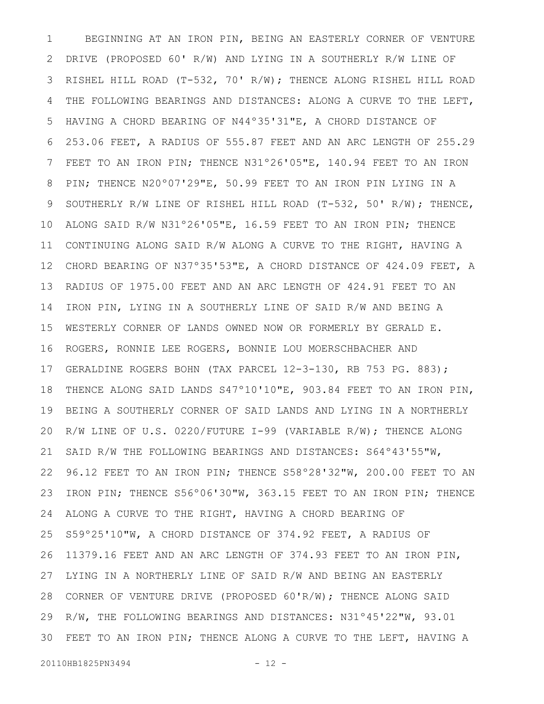BEGINNING AT AN IRON PIN, BEING AN EASTERLY CORNER OF VENTURE DRIVE (PROPOSED 60' R/W) AND LYING IN A SOUTHERLY R/W LINE OF RISHEL HILL ROAD (T-532, 70' R/W); THENCE ALONG RISHEL HILL ROAD THE FOLLOWING BEARINGS AND DISTANCES: ALONG A CURVE TO THE LEFT, HAVING A CHORD BEARING OF N44º35'31"E, A CHORD DISTANCE OF 253.06 FEET, A RADIUS OF 555.87 FEET AND AN ARC LENGTH OF 255.29 FEET TO AN IRON PIN; THENCE N31°26'05"E, 140.94 FEET TO AN IRON PIN; THENCE N20º07'29"E, 50.99 FEET TO AN IRON PIN LYING IN A SOUTHERLY R/W LINE OF RISHEL HILL ROAD (T-532, 50' R/W); THENCE, ALONG SAID R/W N31º26'05"E, 16.59 FEET TO AN IRON PIN; THENCE CONTINUING ALONG SAID R/W ALONG A CURVE TO THE RIGHT, HAVING A CHORD BEARING OF N37º35'53"E, A CHORD DISTANCE OF 424.09 FEET, A RADIUS OF 1975.00 FEET AND AN ARC LENGTH OF 424.91 FEET TO AN IRON PIN, LYING IN A SOUTHERLY LINE OF SAID R/W AND BEING A WESTERLY CORNER OF LANDS OWNED NOW OR FORMERLY BY GERALD E. ROGERS, RONNIE LEE ROGERS, BONNIE LOU MOERSCHBACHER AND GERALDINE ROGERS BOHN (TAX PARCEL 12-3-130, RB 753 PG. 883); THENCE ALONG SAID LANDS S47º10'10"E, 903.84 FEET TO AN IRON PIN, BEING A SOUTHERLY CORNER OF SAID LANDS AND LYING IN A NORTHERLY R/W LINE OF U.S. 0220/FUTURE I-99 (VARIABLE R/W); THENCE ALONG SAID R/W THE FOLLOWING BEARINGS AND DISTANCES: S64º43'55"W, 96.12 FEET TO AN IRON PIN; THENCE S58º28'32"W, 200.00 FEET TO AN IRON PIN; THENCE S56º06'30"W, 363.15 FEET TO AN IRON PIN; THENCE ALONG A CURVE TO THE RIGHT, HAVING A CHORD BEARING OF S59º25'10"W, A CHORD DISTANCE OF 374.92 FEET, A RADIUS OF 11379.16 FEET AND AN ARC LENGTH OF 374.93 FEET TO AN IRON PIN, LYING IN A NORTHERLY LINE OF SAID R/W AND BEING AN EASTERLY CORNER OF VENTURE DRIVE (PROPOSED 60'R/W); THENCE ALONG SAID R/W, THE FOLLOWING BEARINGS AND DISTANCES: N31º45'22"W, 93.01 FEET TO AN IRON PIN; THENCE ALONG A CURVE TO THE LEFT, HAVING A 301 2 3 4 5 6 7 8 9 10 11 12 13 14 15 16 17 18 19 20 21 22 23 24 25 26 27 28 29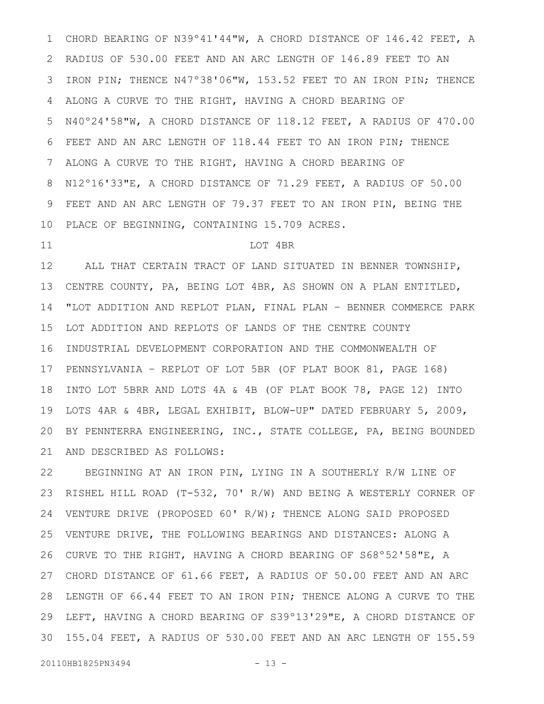CHORD BEARING OF N39º41'44"W, A CHORD DISTANCE OF 146.42 FEET, A RADIUS OF 530.00 FEET AND AN ARC LENGTH OF 146.89 FEET TO AN IRON PIN; THENCE N47º38'06"W, 153.52 FEET TO AN IRON PIN; THENCE ALONG A CURVE TO THE RIGHT, HAVING A CHORD BEARING OF N40º24'58"W, A CHORD DISTANCE OF 118.12 FEET, A RADIUS OF 470.00 FEET AND AN ARC LENGTH OF 118.44 FEET TO AN IRON PIN; THENCE ALONG A CURVE TO THE RIGHT, HAVING A CHORD BEARING OF N12º16'33"E, A CHORD DISTANCE OF 71.29 FEET, A RADIUS OF 50.00 FEET AND AN ARC LENGTH OF 79.37 FEET TO AN IRON PIN, BEING THE PLACE OF BEGINNING, CONTAINING 15.709 ACRES. 1 2 3 4 5 6 7 8 9 10

#### 11

### LOT 4BR

ALL THAT CERTAIN TRACT OF LAND SITUATED IN BENNER TOWNSHIP, CENTRE COUNTY, PA, BEING LOT 4BR, AS SHOWN ON A PLAN ENTITLED, "LOT ADDITION AND REPLOT PLAN, FINAL PLAN – BENNER COMMERCE PARK LOT ADDITION AND REPLOTS OF LANDS OF THE CENTRE COUNTY INDUSTRIAL DEVELOPMENT CORPORATION AND THE COMMONWEALTH OF PENNSYLVANIA – REPLOT OF LOT 5BR (OF PLAT BOOK 81, PAGE 168) INTO LOT 5BRR AND LOTS 4A & 4B (OF PLAT BOOK 78, PAGE 12) INTO LOTS 4AR & 4BR, LEGAL EXHIBIT, BLOW-UP" DATED FEBRUARY 5, 2009, BY PENNTERRA ENGINEERING, INC., STATE COLLEGE, PA, BEING BOUNDED AND DESCRIBED AS FOLLOWS: 12 13 14 15 16 17 18 19 20 21

BEGINNING AT AN IRON PIN, LYING IN A SOUTHERLY R/W LINE OF RISHEL HILL ROAD (T-532, 70' R/W) AND BEING A WESTERLY CORNER OF VENTURE DRIVE (PROPOSED 60' R/W); THENCE ALONG SAID PROPOSED VENTURE DRIVE, THE FOLLOWING BEARINGS AND DISTANCES: ALONG A CURVE TO THE RIGHT, HAVING A CHORD BEARING OF S68º52'58"E, A CHORD DISTANCE OF 61.66 FEET, A RADIUS OF 50.00 FEET AND AN ARC LENGTH OF 66.44 FEET TO AN IRON PIN; THENCE ALONG A CURVE TO THE LEFT, HAVING A CHORD BEARING OF S39º13'29"E, A CHORD DISTANCE OF 155.04 FEET, A RADIUS OF 530.00 FEET AND AN ARC LENGTH OF 155.59 22 23 24 25 26 27 28 29 30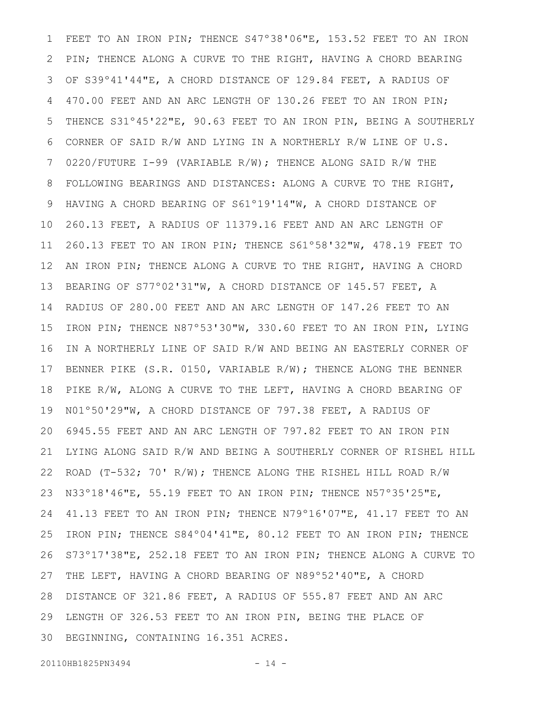FEET TO AN IRON PIN; THENCE S47°38'06"E, 153.52 FEET TO AN IRON PIN; THENCE ALONG A CURVE TO THE RIGHT, HAVING A CHORD BEARING OF S39º41'44"E, A CHORD DISTANCE OF 129.84 FEET, A RADIUS OF 470.00 FEET AND AN ARC LENGTH OF 130.26 FEET TO AN IRON PIN; THENCE S31º45'22"E, 90.63 FEET TO AN IRON PIN, BEING A SOUTHERLY CORNER OF SAID R/W AND LYING IN A NORTHERLY R/W LINE OF U.S. 0220/FUTURE I-99 (VARIABLE R/W); THENCE ALONG SAID R/W THE FOLLOWING BEARINGS AND DISTANCES: ALONG A CURVE TO THE RIGHT, HAVING A CHORD BEARING OF S61º19'14"W, A CHORD DISTANCE OF 260.13 FEET, A RADIUS OF 11379.16 FEET AND AN ARC LENGTH OF 260.13 FEET TO AN IRON PIN; THENCE S61º58'32"W, 478.19 FEET TO AN IRON PIN; THENCE ALONG A CURVE TO THE RIGHT, HAVING A CHORD BEARING OF S77º02'31"W, A CHORD DISTANCE OF 145.57 FEET, A RADIUS OF 280.00 FEET AND AN ARC LENGTH OF 147.26 FEET TO AN IRON PIN; THENCE N87º53'30"W, 330.60 FEET TO AN IRON PIN, LYING IN A NORTHERLY LINE OF SAID R/W AND BEING AN EASTERLY CORNER OF BENNER PIKE (S.R. 0150, VARIABLE R/W); THENCE ALONG THE BENNER PIKE R/W, ALONG A CURVE TO THE LEFT, HAVING A CHORD BEARING OF N01º50'29"W, A CHORD DISTANCE OF 797.38 FEET, A RADIUS OF 6945.55 FEET AND AN ARC LENGTH OF 797.82 FEET TO AN IRON PIN LYING ALONG SAID R/W AND BEING A SOUTHERLY CORNER OF RISHEL HILL ROAD (T-532; 70' R/W); THENCE ALONG THE RISHEL HILL ROAD R/W N33º18'46"E, 55.19 FEET TO AN IRON PIN; THENCE N57º35'25"E, 41.13 FEET TO AN IRON PIN; THENCE N79º16'07"E, 41.17 FEET TO AN IRON PIN; THENCE S84º04'41"E, 80.12 FEET TO AN IRON PIN; THENCE S73º17'38"E, 252.18 FEET TO AN IRON PIN; THENCE ALONG A CURVE TO THE LEFT, HAVING A CHORD BEARING OF N89º52'40"E, A CHORD DISTANCE OF 321.86 FEET, A RADIUS OF 555.87 FEET AND AN ARC LENGTH OF 326.53 FEET TO AN IRON PIN, BEING THE PLACE OF BEGINNING, CONTAINING 16.351 ACRES. 1 2 3 4 5 6 7 8 9 10 11 12 13 14 15 16 17 18 19 20 21 22 23 24 25 26 27 28 29 30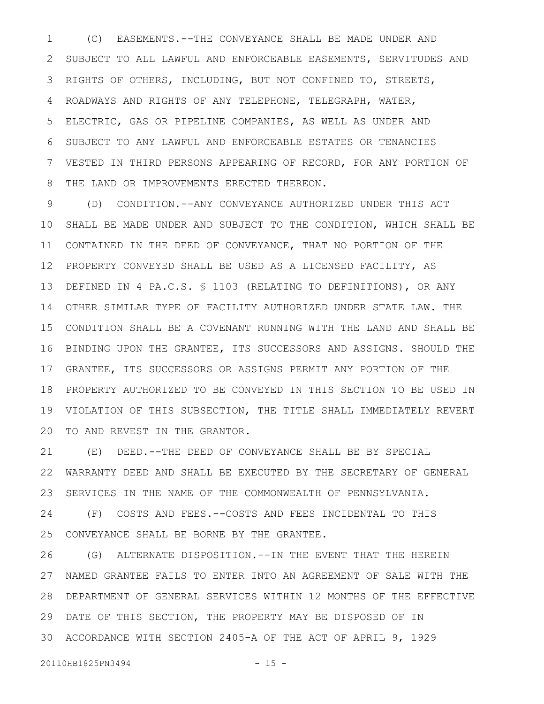(C) EASEMENTS.--THE CONVEYANCE SHALL BE MADE UNDER AND SUBJECT TO ALL LAWFUL AND ENFORCEABLE EASEMENTS, SERVITUDES AND RIGHTS OF OTHERS, INCLUDING, BUT NOT CONFINED TO, STREETS, ROADWAYS AND RIGHTS OF ANY TELEPHONE, TELEGRAPH, WATER, ELECTRIC, GAS OR PIPELINE COMPANIES, AS WELL AS UNDER AND SUBJECT TO ANY LAWFUL AND ENFORCEABLE ESTATES OR TENANCIES VESTED IN THIRD PERSONS APPEARING OF RECORD, FOR ANY PORTION OF THE LAND OR IMPROVEMENTS ERECTED THEREON. 1 2 3 4 5 6 7 8

(D) CONDITION.--ANY CONVEYANCE AUTHORIZED UNDER THIS ACT SHALL BE MADE UNDER AND SUBJECT TO THE CONDITION, WHICH SHALL BE CONTAINED IN THE DEED OF CONVEYANCE, THAT NO PORTION OF THE PROPERTY CONVEYED SHALL BE USED AS A LICENSED FACILITY, AS 12 DEFINED IN 4 PA.C.S. § 1103 (RELATING TO DEFINITIONS), OR ANY OTHER SIMILAR TYPE OF FACILITY AUTHORIZED UNDER STATE LAW. THE CONDITION SHALL BE A COVENANT RUNNING WITH THE LAND AND SHALL BE 16 BINDING UPON THE GRANTEE, ITS SUCCESSORS AND ASSIGNS. SHOULD THE GRANTEE, ITS SUCCESSORS OR ASSIGNS PERMIT ANY PORTION OF THE 17 PROPERTY AUTHORIZED TO BE CONVEYED IN THIS SECTION TO BE USED IN 18 VIOLATION OF THIS SUBSECTION, THE TITLE SHALL IMMEDIATELY REVERT 20 TO AND REVEST IN THE GRANTOR. 9 10 11 13 14 15 19

(E) DEED.--THE DEED OF CONVEYANCE SHALL BE BY SPECIAL WARRANTY DEED AND SHALL BE EXECUTED BY THE SECRETARY OF GENERAL SERVICES IN THE NAME OF THE COMMONWEALTH OF PENNSYLVANIA. (F) COSTS AND FEES.--COSTS AND FEES INCIDENTAL TO THIS CONVEYANCE SHALL BE BORNE BY THE GRANTEE. 21 22 23 24 25

(G) ALTERNATE DISPOSITION.--IN THE EVENT THAT THE HEREIN NAMED GRANTEE FAILS TO ENTER INTO AN AGREEMENT OF SALE WITH THE DEPARTMENT OF GENERAL SERVICES WITHIN 12 MONTHS OF THE EFFECTIVE 28 DATE OF THIS SECTION, THE PROPERTY MAY BE DISPOSED OF IN ACCORDANCE WITH SECTION 2405-A OF THE ACT OF APRIL 9, 1929 3026 27 29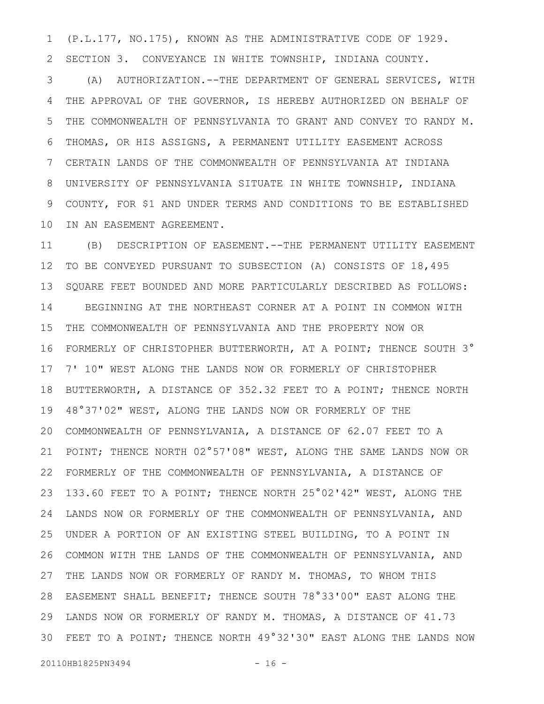(P.L.177, NO.175), KNOWN AS THE ADMINISTRATIVE CODE OF 1929. SECTION 3. CONVEYANCE IN WHITE TOWNSHIP, INDIANA COUNTY. 1 2

(A) AUTHORIZATION.--THE DEPARTMENT OF GENERAL SERVICES, WITH THE APPROVAL OF THE GOVERNOR, IS HEREBY AUTHORIZED ON BEHALF OF THE COMMONWEALTH OF PENNSYLVANIA TO GRANT AND CONVEY TO RANDY M. THOMAS, OR HIS ASSIGNS, A PERMANENT UTILITY EASEMENT ACROSS CERTAIN LANDS OF THE COMMONWEALTH OF PENNSYLVANIA AT INDIANA UNIVERSITY OF PENNSYLVANIA SITUATE IN WHITE TOWNSHIP, INDIANA COUNTY, FOR \$1 AND UNDER TERMS AND CONDITIONS TO BE ESTABLISHED IN AN EASEMENT AGREEMENT. 3 4 5 6 7 8 9 10

(B) DESCRIPTION OF EASEMENT.--THE PERMANENT UTILITY EASEMENT TO BE CONVEYED PURSUANT TO SUBSECTION (A) CONSISTS OF 18,495 SQUARE FEET BOUNDED AND MORE PARTICULARLY DESCRIBED AS FOLLOWS: BEGINNING AT THE NORTHEAST CORNER AT A POINT IN COMMON WITH THE COMMONWEALTH OF PENNSYLVANIA AND THE PROPERTY NOW OR FORMERLY OF CHRISTOPHER BUTTERWORTH, AT A POINT; THENCE SOUTH 3° 7' 10" WEST ALONG THE LANDS NOW OR FORMERLY OF CHRISTOPHER BUTTERWORTH, A DISTANCE OF 352.32 FEET TO A POINT; THENCE NORTH 48°37'02" WEST, ALONG THE LANDS NOW OR FORMERLY OF THE COMMONWEALTH OF PENNSYLVANIA, A DISTANCE OF 62.07 FEET TO A POINT; THENCE NORTH 02°57'08" WEST, ALONG THE SAME LANDS NOW OR FORMERLY OF THE COMMONWEALTH OF PENNSYLVANIA, A DISTANCE OF 133.60 FEET TO A POINT; THENCE NORTH 25°02'42" WEST, ALONG THE LANDS NOW OR FORMERLY OF THE COMMONWEALTH OF PENNSYLVANIA, AND UNDER A PORTION OF AN EXISTING STEEL BUILDING, TO A POINT IN COMMON WITH THE LANDS OF THE COMMONWEALTH OF PENNSYLVANIA, AND THE LANDS NOW OR FORMERLY OF RANDY M. THOMAS, TO WHOM THIS EASEMENT SHALL BENEFIT; THENCE SOUTH 78°33'00" EAST ALONG THE 28 LANDS NOW OR FORMERLY OF RANDY M. THOMAS, A DISTANCE OF 41.73 FEET TO A POINT; THENCE NORTH 49°32'30" EAST ALONG THE LANDS NOW 3011 12 13 14 15 16 17 18 19 20 21 22 23 24 25 26 27 29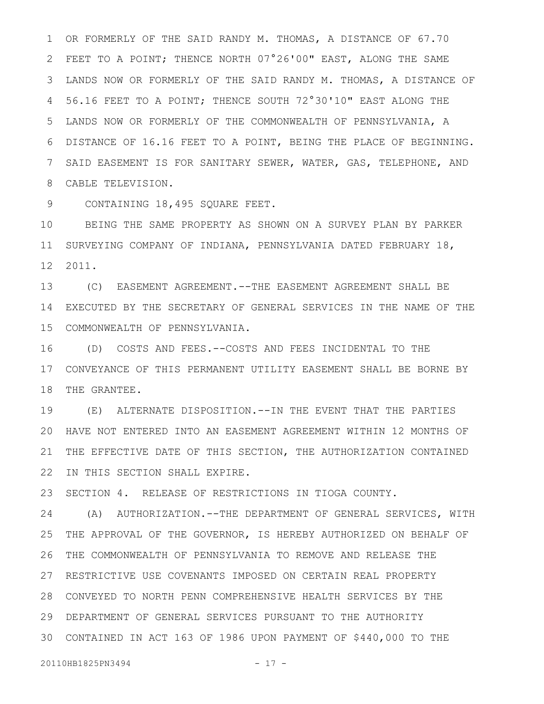OR FORMERLY OF THE SAID RANDY M. THOMAS, A DISTANCE OF 67.70 FEET TO A POINT; THENCE NORTH 07°26'00" EAST, ALONG THE SAME LANDS NOW OR FORMERLY OF THE SAID RANDY M. THOMAS, A DISTANCE OF 56.16 FEET TO A POINT; THENCE SOUTH 72°30'10" EAST ALONG THE LANDS NOW OR FORMERLY OF THE COMMONWEALTH OF PENNSYLVANIA, A DISTANCE OF 16.16 FEET TO A POINT, BEING THE PLACE OF BEGINNING. SAID EASEMENT IS FOR SANITARY SEWER, WATER, GAS, TELEPHONE, AND CABLE TELEVISION. 8 1 2 3 4 5 6 7

CONTAINING 18,495 SQUARE FEET. 9

BEING THE SAME PROPERTY AS SHOWN ON A SURVEY PLAN BY PARKER SURVEYING COMPANY OF INDIANA, PENNSYLVANIA DATED FEBRUARY 18, 2011. 12 10 11

(C) EASEMENT AGREEMENT.--THE EASEMENT AGREEMENT SHALL BE 14 EXECUTED BY THE SECRETARY OF GENERAL SERVICES IN THE NAME OF THE COMMONWEALTH OF PENNSYLVANIA. 15 13

(D) COSTS AND FEES.--COSTS AND FEES INCIDENTAL TO THE CONVEYANCE OF THIS PERMANENT UTILITY EASEMENT SHALL BE BORNE BY 17 18 THE GRANTEE. 16

(E) ALTERNATE DISPOSITION.--IN THE EVENT THAT THE PARTIES HAVE NOT ENTERED INTO AN EASEMENT AGREEMENT WITHIN 12 MONTHS OF 20 21 THE EFFECTIVE DATE OF THIS SECTION, THE AUTHORIZATION CONTAINED IN THIS SECTION SHALL EXPIRE. 19 22

SECTION 4. RELEASE OF RESTRICTIONS IN TIOGA COUNTY. 23

(A) AUTHORIZATION.--THE DEPARTMENT OF GENERAL SERVICES, WITH THE APPROVAL OF THE GOVERNOR, IS HEREBY AUTHORIZED ON BEHALF OF THE COMMONWEALTH OF PENNSYLVANIA TO REMOVE AND RELEASE THE 26 27 RESTRICTIVE USE COVENANTS IMPOSED ON CERTAIN REAL PROPERTY CONVEYED TO NORTH PENN COMPREHENSIVE HEALTH SERVICES BY THE 28 DEPARTMENT OF GENERAL SERVICES PURSUANT TO THE AUTHORITY 29 CONTAINED IN ACT 163 OF 1986 UPON PAYMENT OF \$440,000 TO THE 3024 25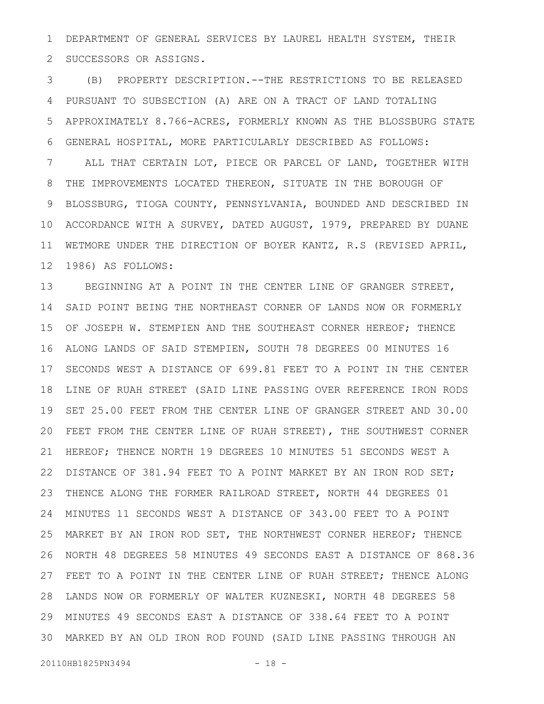DEPARTMENT OF GENERAL SERVICES BY LAUREL HEALTH SYSTEM, THEIR SUCCESSORS OR ASSIGNS. 1 2

(B) PROPERTY DESCRIPTION.--THE RESTRICTIONS TO BE RELEASED PURSUANT TO SUBSECTION (A) ARE ON A TRACT OF LAND TOTALING APPROXIMATELY 8.766-ACRES, FORMERLY KNOWN AS THE BLOSSBURG STATE GENERAL HOSPITAL, MORE PARTICULARLY DESCRIBED AS FOLLOWS: ALL THAT CERTAIN LOT, PIECE OR PARCEL OF LAND, TOGETHER WITH THE IMPROVEMENTS LOCATED THEREON, SITUATE IN THE BOROUGH OF BLOSSBURG, TIOGA COUNTY, PENNSYLVANIA, BOUNDED AND DESCRIBED IN ACCORDANCE WITH A SURVEY, DATED AUGUST, 1979, PREPARED BY DUANE WETMORE UNDER THE DIRECTION OF BOYER KANTZ, R.S (REVISED APRIL, 1986) AS FOLLOWS: 3 4 5 6 7 8 9 10 11 12

BEGINNING AT A POINT IN THE CENTER LINE OF GRANGER STREET, SAID POINT BEING THE NORTHEAST CORNER OF LANDS NOW OR FORMERLY OF JOSEPH W. STEMPIEN AND THE SOUTHEAST CORNER HEREOF; THENCE ALONG LANDS OF SAID STEMPIEN, SOUTH 78 DEGREES 00 MINUTES 16 SECONDS WEST A DISTANCE OF 699.81 FEET TO A POINT IN THE CENTER LINE OF RUAH STREET (SAID LINE PASSING OVER REFERENCE IRON RODS SET 25.00 FEET FROM THE CENTER LINE OF GRANGER STREET AND 30.00 FEET FROM THE CENTER LINE OF RUAH STREET), THE SOUTHWEST CORNER HEREOF; THENCE NORTH 19 DEGREES 10 MINUTES 51 SECONDS WEST A DISTANCE OF 381.94 FEET TO A POINT MARKET BY AN IRON ROD SET; THENCE ALONG THE FORMER RAILROAD STREET, NORTH 44 DEGREES 01 MINUTES 11 SECONDS WEST A DISTANCE OF 343.00 FEET TO A POINT MARKET BY AN IRON ROD SET, THE NORTHWEST CORNER HEREOF; THENCE NORTH 48 DEGREES 58 MINUTES 49 SECONDS EAST A DISTANCE OF 868.36 FEET TO A POINT IN THE CENTER LINE OF RUAH STREET; THENCE ALONG LANDS NOW OR FORMERLY OF WALTER KUZNESKI, NORTH 48 DEGREES 58 MINUTES 49 SECONDS EAST A DISTANCE OF 338.64 FEET TO A POINT 29 MARKED BY AN OLD IRON ROD FOUND (SAID LINE PASSING THROUGH AN 3013 14 15 16 17 18 19 20 21 22 23 24 25 26 27 28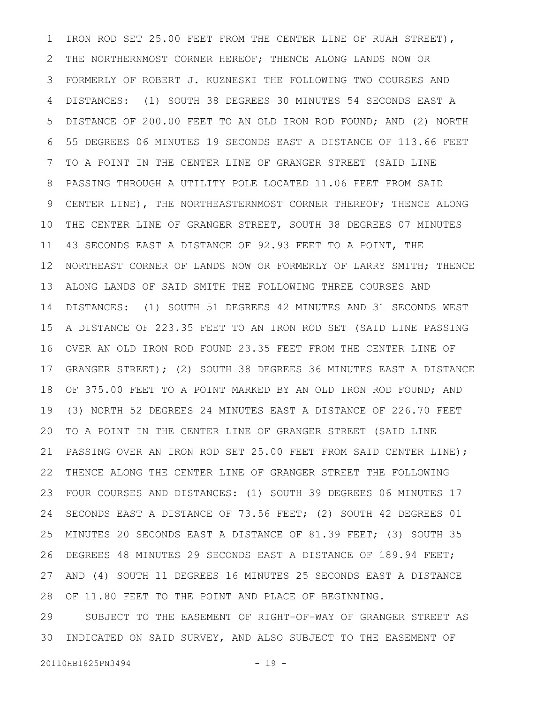IRON ROD SET 25.00 FEET FROM THE CENTER LINE OF RUAH STREET), THE NORTHERNMOST CORNER HEREOF; THENCE ALONG LANDS NOW OR FORMERLY OF ROBERT J. KUZNESKI THE FOLLOWING TWO COURSES AND DISTANCES: (1) SOUTH 38 DEGREES 30 MINUTES 54 SECONDS EAST A DISTANCE OF 200.00 FEET TO AN OLD IRON ROD FOUND; AND (2) NORTH 55 DEGREES 06 MINUTES 19 SECONDS EAST A DISTANCE OF 113.66 FEET TO A POINT IN THE CENTER LINE OF GRANGER STREET (SAID LINE PASSING THROUGH A UTILITY POLE LOCATED 11.06 FEET FROM SAID CENTER LINE), THE NORTHEASTERNMOST CORNER THEREOF; THENCE ALONG THE CENTER LINE OF GRANGER STREET, SOUTH 38 DEGREES 07 MINUTES 43 SECONDS EAST A DISTANCE OF 92.93 FEET TO A POINT, THE NORTHEAST CORNER OF LANDS NOW OR FORMERLY OF LARRY SMITH; THENCE ALONG LANDS OF SAID SMITH THE FOLLOWING THREE COURSES AND DISTANCES: (1) SOUTH 51 DEGREES 42 MINUTES AND 31 SECONDS WEST A DISTANCE OF 223.35 FEET TO AN IRON ROD SET (SAID LINE PASSING OVER AN OLD IRON ROD FOUND 23.35 FEET FROM THE CENTER LINE OF GRANGER STREET); (2) SOUTH 38 DEGREES 36 MINUTES EAST A DISTANCE OF 375.00 FEET TO A POINT MARKED BY AN OLD IRON ROD FOUND; AND (3) NORTH 52 DEGREES 24 MINUTES EAST A DISTANCE OF 226.70 FEET TO A POINT IN THE CENTER LINE OF GRANGER STREET (SAID LINE PASSING OVER AN IRON ROD SET 25.00 FEET FROM SAID CENTER LINE); THENCE ALONG THE CENTER LINE OF GRANGER STREET THE FOLLOWING FOUR COURSES AND DISTANCES: (1) SOUTH 39 DEGREES 06 MINUTES 17 SECONDS EAST A DISTANCE OF 73.56 FEET; (2) SOUTH 42 DEGREES 01 MINUTES 20 SECONDS EAST A DISTANCE OF 81.39 FEET; (3) SOUTH 35 DEGREES 48 MINUTES 29 SECONDS EAST A DISTANCE OF 189.94 FEET; AND (4) SOUTH 11 DEGREES 16 MINUTES 25 SECONDS EAST A DISTANCE OF 11.80 FEET TO THE POINT AND PLACE OF BEGINNING. 1 2 3 4 5 6 7 8 9 10 11 12 13 14 15 16 17 18 19 20 21 22 23 24 25 26 27 28

SUBJECT TO THE EASEMENT OF RIGHT-OF-WAY OF GRANGER STREET AS INDICATED ON SAID SURVEY, AND ALSO SUBJECT TO THE EASEMENT OF 29 30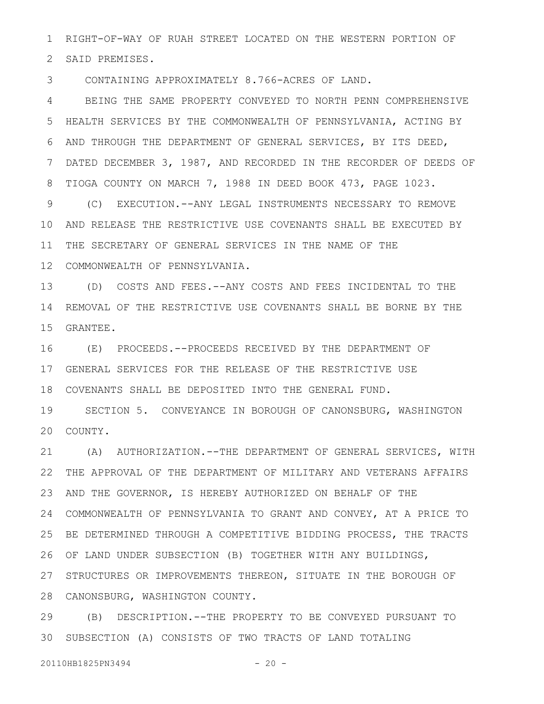RIGHT-OF-WAY OF RUAH STREET LOCATED ON THE WESTERN PORTION OF 2 SAID PREMISES. 1

CONTAINING APPROXIMATELY 8.766-ACRES OF LAND. 3

BEING THE SAME PROPERTY CONVEYED TO NORTH PENN COMPREHENSIVE HEALTH SERVICES BY THE COMMONWEALTH OF PENNSYLVANIA, ACTING BY AND THROUGH THE DEPARTMENT OF GENERAL SERVICES, BY ITS DEED, DATED DECEMBER 3, 1987, AND RECORDED IN THE RECORDER OF DEEDS OF TIOGA COUNTY ON MARCH 7, 1988 IN DEED BOOK 473, PAGE 1023. 4 5 6 7 8

(C) EXECUTION.--ANY LEGAL INSTRUMENTS NECESSARY TO REMOVE AND RELEASE THE RESTRICTIVE USE COVENANTS SHALL BE EXECUTED BY 10 11 THE SECRETARY OF GENERAL SERVICES IN THE NAME OF THE COMMONWEALTH OF PENNSYLVANIA. 12 9

(D) COSTS AND FEES.--ANY COSTS AND FEES INCIDENTAL TO THE 13 14 REMOVAL OF THE RESTRICTIVE USE COVENANTS SHALL BE BORNE BY THE GRANTEE. 15

(E) PROCEEDS.--PROCEEDS RECEIVED BY THE DEPARTMENT OF GENERAL SERVICES FOR THE RELEASE OF THE RESTRICTIVE USE 17 COVENANTS SHALL BE DEPOSITED INTO THE GENERAL FUND. 18 16

SECTION 5. CONVEYANCE IN BOROUGH OF CANONSBURG, WASHINGTON 20 COUNTY. 19

21 (A) AUTHORIZATION.--THE DEPARTMENT OF GENERAL SERVICES, WITH THE APPROVAL OF THE DEPARTMENT OF MILITARY AND VETERANS AFFAIRS 22 AND THE GOVERNOR, IS HEREBY AUTHORIZED ON BEHALF OF THE COMMONWEALTH OF PENNSYLVANIA TO GRANT AND CONVEY, AT A PRICE TO 24 25 BE DETERMINED THROUGH A COMPETITIVE BIDDING PROCESS, THE TRACTS OF LAND UNDER SUBSECTION (B) TOGETHER WITH ANY BUILDINGS, 26 27 STRUCTURES OR IMPROVEMENTS THEREON, SITUATE IN THE BOROUGH OF CANONSBURG, WASHINGTON COUNTY. 28 23

(B) DESCRIPTION.--THE PROPERTY TO BE CONVEYED PURSUANT TO 29 SUBSECTION (A) CONSISTS OF TWO TRACTS OF LAND TOTALING 30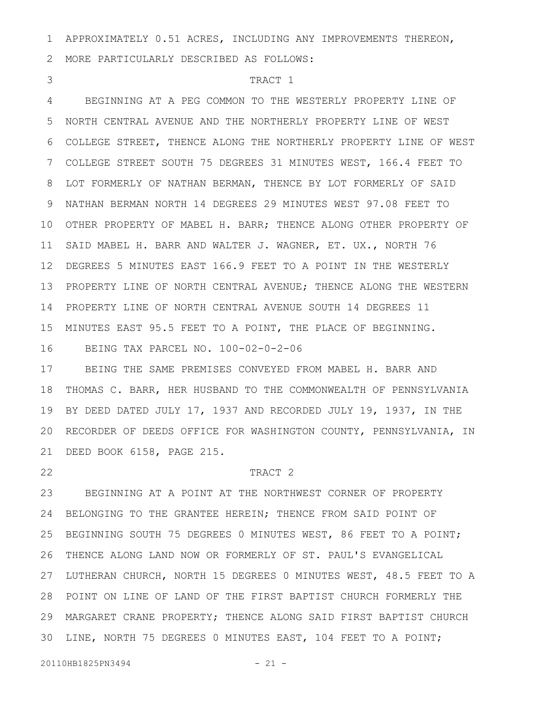APPROXIMATELY 0.51 ACRES, INCLUDING ANY IMPROVEMENTS THEREON, 1

MORE PARTICULARLY DESCRIBED AS FOLLOWS: 2

3

## TRACT 1

BEGINNING AT A PEG COMMON TO THE WESTERLY PROPERTY LINE OF NORTH CENTRAL AVENUE AND THE NORTHERLY PROPERTY LINE OF WEST COLLEGE STREET, THENCE ALONG THE NORTHERLY PROPERTY LINE OF WEST COLLEGE STREET SOUTH 75 DEGREES 31 MINUTES WEST, 166.4 FEET TO LOT FORMERLY OF NATHAN BERMAN, THENCE BY LOT FORMERLY OF SAID NATHAN BERMAN NORTH 14 DEGREES 29 MINUTES WEST 97.08 FEET TO 10 OTHER PROPERTY OF MABEL H. BARR; THENCE ALONG OTHER PROPERTY OF 11 SAID MABEL H. BARR AND WALTER J. WAGNER, ET. UX., NORTH 76 DEGREES 5 MINUTES EAST 166.9 FEET TO A POINT IN THE WESTERLY 12 PROPERTY LINE OF NORTH CENTRAL AVENUE; THENCE ALONG THE WESTERN PROPERTY LINE OF NORTH CENTRAL AVENUE SOUTH 14 DEGREES 11 14 MINUTES EAST 95.5 FEET TO A POINT, THE PLACE OF BEGINNING. 15 BEING TAX PARCEL NO. 100-02-0-2-06 4 5 6 7 8 9 13 16

BEING THE SAME PREMISES CONVEYED FROM MABEL H. BARR AND THOMAS C. BARR, HER HUSBAND TO THE COMMONWEALTH OF PENNSYLVANIA BY DEED DATED JULY 17, 1937 AND RECORDED JULY 19, 1937, IN THE 20 RECORDER OF DEEDS OFFICE FOR WASHINGTON COUNTY, PENNSYLVANIA, IN DEED BOOK 6158, PAGE 215. 21 17 18 19

22

#### TRACT 2

BEGINNING AT A POINT AT THE NORTHWEST CORNER OF PROPERTY 24 BELONGING TO THE GRANTEE HEREIN; THENCE FROM SAID POINT OF BEGINNING SOUTH 75 DEGREES 0 MINUTES WEST, 86 FEET TO A POINT; THENCE ALONG LAND NOW OR FORMERLY OF ST. PAUL'S EVANGELICAL LUTHERAN CHURCH, NORTH 15 DEGREES 0 MINUTES WEST, 48.5 FEET TO A POINT ON LINE OF LAND OF THE FIRST BAPTIST CHURCH FORMERLY THE 28 MARGARET CRANE PROPERTY; THENCE ALONG SAID FIRST BAPTIST CHURCH 29 30 LINE, NORTH 75 DEGREES 0 MINUTES EAST, 104 FEET TO A POINT; 23 25 26 27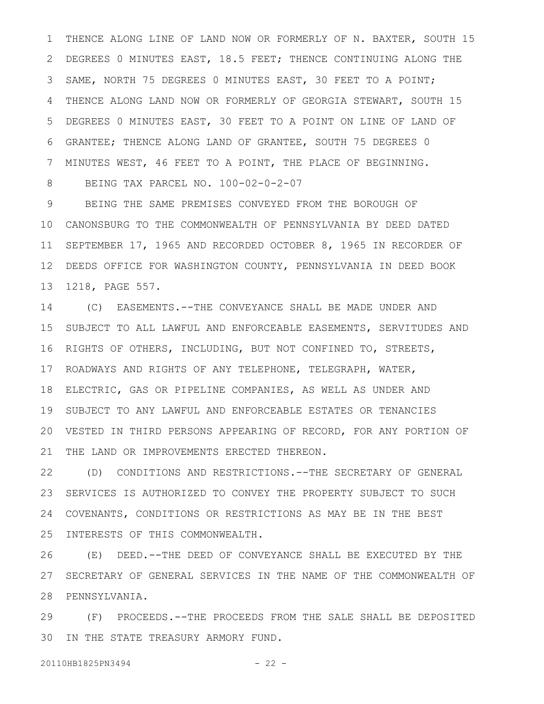THENCE ALONG LINE OF LAND NOW OR FORMERLY OF N. BAXTER, SOUTH 15 DEGREES 0 MINUTES EAST, 18.5 FEET; THENCE CONTINUING ALONG THE SAME, NORTH 75 DEGREES 0 MINUTES EAST, 30 FEET TO A POINT; THENCE ALONG LAND NOW OR FORMERLY OF GEORGIA STEWART, SOUTH 15 DEGREES 0 MINUTES EAST, 30 FEET TO A POINT ON LINE OF LAND OF GRANTEE; THENCE ALONG LAND OF GRANTEE, SOUTH 75 DEGREES 0 MINUTES WEST, 46 FEET TO A POINT, THE PLACE OF BEGINNING. BEING TAX PARCEL NO. 100-02-0-2-07 1 2 3 4 5 6 7 8

BEING THE SAME PREMISES CONVEYED FROM THE BOROUGH OF CANONSBURG TO THE COMMONWEALTH OF PENNSYLVANIA BY DEED DATED 10 SEPTEMBER 17, 1965 AND RECORDED OCTOBER 8, 1965 IN RECORDER OF DEEDS OFFICE FOR WASHINGTON COUNTY, PENNSYLVANIA IN DEED BOOK 1218, PAGE 557. 9 11 12 13

(C) EASEMENTS.--THE CONVEYANCE SHALL BE MADE UNDER AND SUBJECT TO ALL LAWFUL AND ENFORCEABLE EASEMENTS, SERVITUDES AND 16 RIGHTS OF OTHERS, INCLUDING, BUT NOT CONFINED TO, STREETS, ROADWAYS AND RIGHTS OF ANY TELEPHONE, TELEGRAPH, WATER, 17 ELECTRIC, GAS OR PIPELINE COMPANIES, AS WELL AS UNDER AND SUBJECT TO ANY LAWFUL AND ENFORCEABLE ESTATES OR TENANCIES VESTED IN THIRD PERSONS APPEARING OF RECORD, FOR ANY PORTION OF 20 THE LAND OR IMPROVEMENTS ERECTED THEREON. 14 15 18 19 21

(D) CONDITIONS AND RESTRICTIONS.--THE SECRETARY OF GENERAL SERVICES IS AUTHORIZED TO CONVEY THE PROPERTY SUBJECT TO SUCH COVENANTS, CONDITIONS OR RESTRICTIONS AS MAY BE IN THE BEST INTERESTS OF THIS COMMONWEALTH. 22 23 24 25

(E) DEED.--THE DEED OF CONVEYANCE SHALL BE EXECUTED BY THE SECRETARY OF GENERAL SERVICES IN THE NAME OF THE COMMONWEALTH OF 28 PENNSYLVANIA. 26 27

(F) PROCEEDS.--THE PROCEEDS FROM THE SALE SHALL BE DEPOSITED 30 IN THE STATE TREASURY ARMORY FUND. 29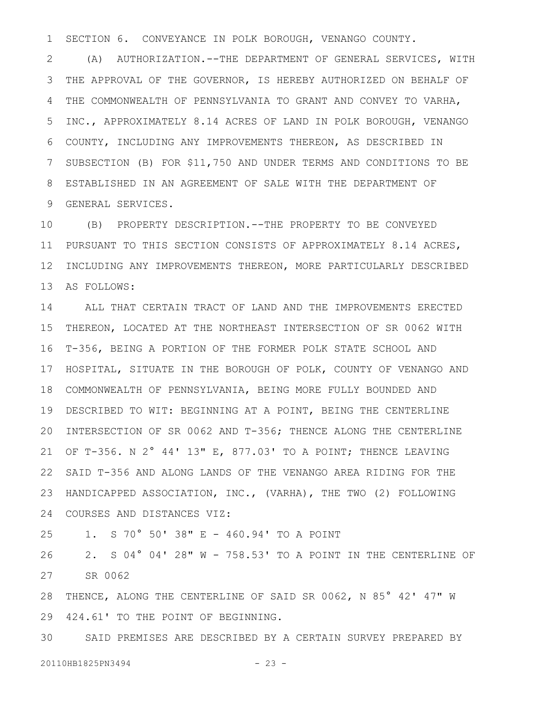SECTION 6. CONVEYANCE IN POLK BOROUGH, VENANGO COUNTY. 1

(A) AUTHORIZATION.--THE DEPARTMENT OF GENERAL SERVICES, WITH THE APPROVAL OF THE GOVERNOR, IS HEREBY AUTHORIZED ON BEHALF OF THE COMMONWEALTH OF PENNSYLVANIA TO GRANT AND CONVEY TO VARHA, INC., APPROXIMATELY 8.14 ACRES OF LAND IN POLK BOROUGH, VENANGO COUNTY, INCLUDING ANY IMPROVEMENTS THEREON, AS DESCRIBED IN SUBSECTION (B) FOR \$11,750 AND UNDER TERMS AND CONDITIONS TO BE ESTABLISHED IN AN AGREEMENT OF SALE WITH THE DEPARTMENT OF GENERAL SERVICES. 2 3 4 5 6 7 8 9

(B) PROPERTY DESCRIPTION.--THE PROPERTY TO BE CONVEYED PURSUANT TO THIS SECTION CONSISTS OF APPROXIMATELY 8.14 ACRES, 12 INCLUDING ANY IMPROVEMENTS THEREON, MORE PARTICULARLY DESCRIBED AS FOLLOWS: 10 11 13

ALL THAT CERTAIN TRACT OF LAND AND THE IMPROVEMENTS ERECTED THEREON, LOCATED AT THE NORTHEAST INTERSECTION OF SR 0062 WITH T-356, BEING A PORTION OF THE FORMER POLK STATE SCHOOL AND HOSPITAL, SITUATE IN THE BOROUGH OF POLK, COUNTY OF VENANGO AND 18 COMMONWEALTH OF PENNSYLVANIA, BEING MORE FULLY BOUNDED AND 19 DESCRIBED TO WIT: BEGINNING AT A POINT, BEING THE CENTERLINE 20 INTERSECTION OF SR 0062 AND T-356; THENCE ALONG THE CENTERLINE OF T-356. N 2° 44' 13" E, 877.03' TO A POINT; THENCE LEAVING SAID T-356 AND ALONG LANDS OF THE VENANGO AREA RIDING FOR THE HANDICAPPED ASSOCIATION, INC., (VARHA), THE TWO (2) FOLLOWING COURSES AND DISTANCES VIZ: 24 14 15 16 17 21 22 23

1. S 70° 50' 38" E - 460.94' TO A POINT 25

2. S 04° 04' 28" W - 758.53' TO A POINT IN THE CENTERLINE OF SR 0062 26 27

28 THENCE, ALONG THE CENTERLINE OF SAID SR 0062, N 85° 42' 47" W 424.61' TO THE POINT OF BEGINNING. 29

SAID PREMISES ARE DESCRIBED BY A CERTAIN SURVEY PREPARED BY 20110HB1825PN3494 - 23 -30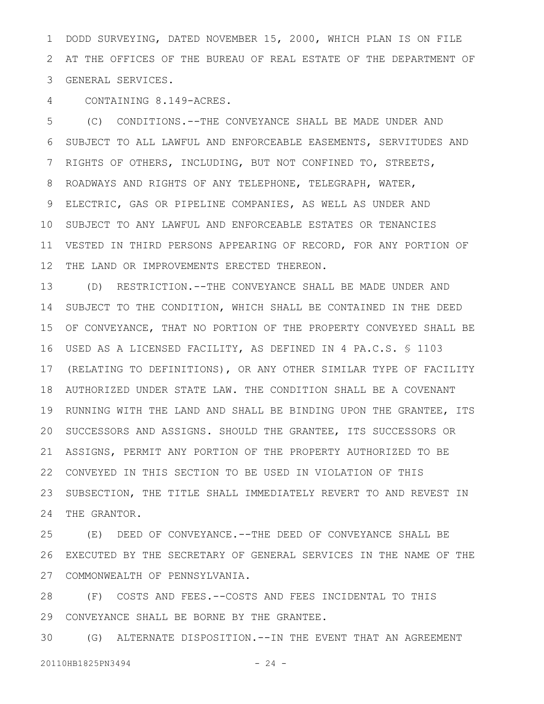DODD SURVEYING, DATED NOVEMBER 15, 2000, WHICH PLAN IS ON FILE AT THE OFFICES OF THE BUREAU OF REAL ESTATE OF THE DEPARTMENT OF GENERAL SERVICES. 1 2 3

CONTAINING 8.149-ACRES. 4

(C) CONDITIONS.--THE CONVEYANCE SHALL BE MADE UNDER AND SUBJECT TO ALL LAWFUL AND ENFORCEABLE EASEMENTS, SERVITUDES AND RIGHTS OF OTHERS, INCLUDING, BUT NOT CONFINED TO, STREETS, ROADWAYS AND RIGHTS OF ANY TELEPHONE, TELEGRAPH, WATER, ELECTRIC, GAS OR PIPELINE COMPANIES, AS WELL AS UNDER AND 10 SUBJECT TO ANY LAWFUL AND ENFORCEABLE ESTATES OR TENANCIES VESTED IN THIRD PERSONS APPEARING OF RECORD, FOR ANY PORTION OF THE LAND OR IMPROVEMENTS ERECTED THEREON. 5 6 7 8 9 11 12

(D) RESTRICTION.--THE CONVEYANCE SHALL BE MADE UNDER AND SUBJECT TO THE CONDITION, WHICH SHALL BE CONTAINED IN THE DEED OF CONVEYANCE, THAT NO PORTION OF THE PROPERTY CONVEYED SHALL BE USED AS A LICENSED FACILITY, AS DEFINED IN 4 PA.C.S. § 1103 16 17 (RELATING TO DEFINITIONS), OR ANY OTHER SIMILAR TYPE OF FACILITY AUTHORIZED UNDER STATE LAW. THE CONDITION SHALL BE A COVENANT 18 19 RUNNING WITH THE LAND AND SHALL BE BINDING UPON THE GRANTEE, ITS 20 SUCCESSORS AND ASSIGNS. SHOULD THE GRANTEE, ITS SUCCESSORS OR ASSIGNS, PERMIT ANY PORTION OF THE PROPERTY AUTHORIZED TO BE 22 CONVEYED IN THIS SECTION TO BE USED IN VIOLATION OF THIS SUBSECTION, THE TITLE SHALL IMMEDIATELY REVERT TO AND REVEST IN THE GRANTOR. 13 14 15 21 23 24

(E) DEED OF CONVEYANCE.--THE DEED OF CONVEYANCE SHALL BE EXECUTED BY THE SECRETARY OF GENERAL SERVICES IN THE NAME OF THE COMMONWEALTH OF PENNSYLVANIA. 27 25 26

(F) COSTS AND FEES.--COSTS AND FEES INCIDENTAL TO THIS 29 CONVEYANCE SHALL BE BORNE BY THE GRANTEE. 28

(G) ALTERNATE DISPOSITION.--IN THE EVENT THAT AN AGREEMENT 20110HB1825PN3494 - 24 -30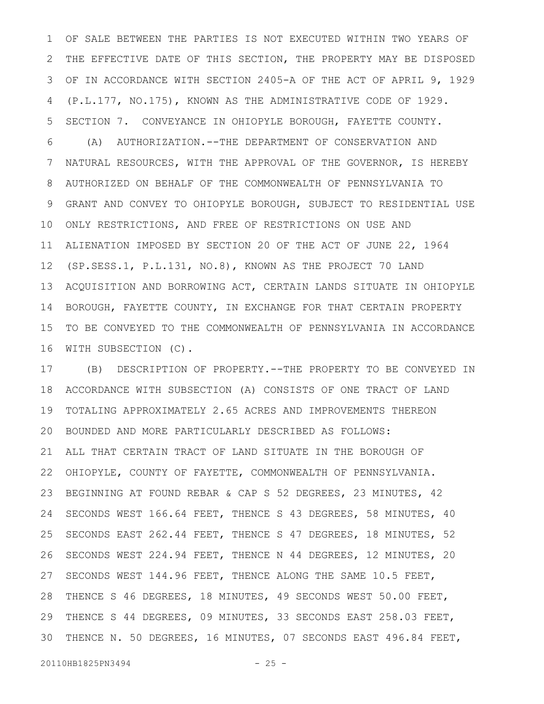OF SALE BETWEEN THE PARTIES IS NOT EXECUTED WITHIN TWO YEARS OF THE EFFECTIVE DATE OF THIS SECTION, THE PROPERTY MAY BE DISPOSED OF IN ACCORDANCE WITH SECTION 2405-A OF THE ACT OF APRIL 9, 1929 (P.L.177, NO.175), KNOWN AS THE ADMINISTRATIVE CODE OF 1929. SECTION 7. CONVEYANCE IN OHIOPYLE BOROUGH, FAYETTE COUNTY. (A) AUTHORIZATION.--THE DEPARTMENT OF CONSERVATION AND NATURAL RESOURCES, WITH THE APPROVAL OF THE GOVERNOR, IS HEREBY AUTHORIZED ON BEHALF OF THE COMMONWEALTH OF PENNSYLVANIA TO GRANT AND CONVEY TO OHIOPYLE BOROUGH, SUBJECT TO RESIDENTIAL USE ONLY RESTRICTIONS, AND FREE OF RESTRICTIONS ON USE AND ALIENATION IMPOSED BY SECTION 20 OF THE ACT OF JUNE 22, 1964 (SP.SESS.1, P.L.131, NO.8), KNOWN AS THE PROJECT 70 LAND ACQUISITION AND BORROWING ACT, CERTAIN LANDS SITUATE IN OHIOPYLE BOROUGH, FAYETTE COUNTY, IN EXCHANGE FOR THAT CERTAIN PROPERTY TO BE CONVEYED TO THE COMMONWEALTH OF PENNSYLVANIA IN ACCORDANCE WITH SUBSECTION (C). 1 2 3 4 5 6 7 8 9 10 11 12 13 14 15 16

(B) DESCRIPTION OF PROPERTY.--THE PROPERTY TO BE CONVEYED IN ACCORDANCE WITH SUBSECTION (A) CONSISTS OF ONE TRACT OF LAND TOTALING APPROXIMATELY 2.65 ACRES AND IMPROVEMENTS THEREON BOUNDED AND MORE PARTICULARLY DESCRIBED AS FOLLOWS: ALL THAT CERTAIN TRACT OF LAND SITUATE IN THE BOROUGH OF OHIOPYLE, COUNTY OF FAYETTE, COMMONWEALTH OF PENNSYLVANIA. BEGINNING AT FOUND REBAR & CAP S 52 DEGREES, 23 MINUTES, 42 SECONDS WEST 166.64 FEET, THENCE S 43 DEGREES, 58 MINUTES, 40 SECONDS EAST 262.44 FEET, THENCE S 47 DEGREES, 18 MINUTES, 52 SECONDS WEST 224.94 FEET, THENCE N 44 DEGREES, 12 MINUTES, 20 SECONDS WEST 144.96 FEET, THENCE ALONG THE SAME 10.5 FEET, THENCE S 46 DEGREES, 18 MINUTES, 49 SECONDS WEST 50.00 FEET, THENCE S 44 DEGREES, 09 MINUTES, 33 SECONDS EAST 258.03 FEET, THENCE N. 50 DEGREES, 16 MINUTES, 07 SECONDS EAST 496.84 FEET, 17 18 19 20 21 22 23 24 25 26 27 28 29 30

20110HB1825PN3494 - 25 -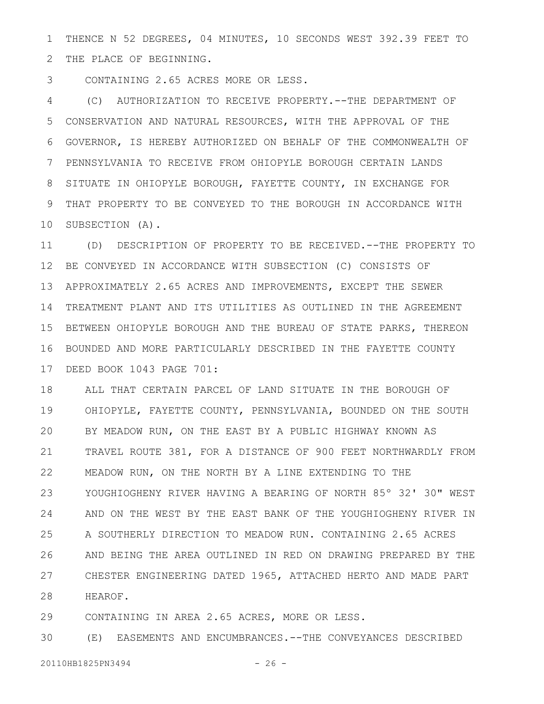THENCE N 52 DEGREES, 04 MINUTES, 10 SECONDS WEST 392.39 FEET TO THE PLACE OF BEGINNING. 1 2

CONTAINING 2.65 ACRES MORE OR LESS. 3

(C) AUTHORIZATION TO RECEIVE PROPERTY.--THE DEPARTMENT OF CONSERVATION AND NATURAL RESOURCES, WITH THE APPROVAL OF THE GOVERNOR, IS HEREBY AUTHORIZED ON BEHALF OF THE COMMONWEALTH OF PENNSYLVANIA TO RECEIVE FROM OHIOPYLE BOROUGH CERTAIN LANDS SITUATE IN OHIOPYLE BOROUGH, FAYETTE COUNTY, IN EXCHANGE FOR THAT PROPERTY TO BE CONVEYED TO THE BOROUGH IN ACCORDANCE WITH 10 SUBSECTION (A). 4 5 6 7 8 9

(D) DESCRIPTION OF PROPERTY TO BE RECEIVED.--THE PROPERTY TO BE CONVEYED IN ACCORDANCE WITH SUBSECTION (C) CONSISTS OF APPROXIMATELY 2.65 ACRES AND IMPROVEMENTS, EXCEPT THE SEWER 14 TREATMENT PLANT AND ITS UTILITIES AS OUTLINED IN THE AGREEMENT 15 BETWEEN OHIOPYLE BOROUGH AND THE BUREAU OF STATE PARKS, THEREON BOUNDED AND MORE PARTICULARLY DESCRIBED IN THE FAYETTE COUNTY 16 DEED BOOK 1043 PAGE 701: 17 11 12 13

ALL THAT CERTAIN PARCEL OF LAND SITUATE IN THE BOROUGH OF OHIOPYLE, FAYETTE COUNTY, PENNSYLVANIA, BOUNDED ON THE SOUTH BY MEADOW RUN, ON THE EAST BY A PUBLIC HIGHWAY KNOWN AS TRAVEL ROUTE 381, FOR A DISTANCE OF 900 FEET NORTHWARDLY FROM MEADOW RUN, ON THE NORTH BY A LINE EXTENDING TO THE YOUGHIOGHENY RIVER HAVING A BEARING OF NORTH 85º 32' 30" WEST AND ON THE WEST BY THE EAST BANK OF THE YOUGHIOGHENY RIVER IN A SOUTHERLY DIRECTION TO MEADOW RUN. CONTAINING 2.65 ACRES AND BEING THE AREA OUTLINED IN RED ON DRAWING PREPARED BY THE CHESTER ENGINEERING DATED 1965, ATTACHED HERTO AND MADE PART HEAROF. 18 19 20 21 22 23 24 25 26 27 28

CONTAINING IN AREA 2.65 ACRES, MORE OR LESS. 29

(E) EASEMENTS AND ENCUMBRANCES.--THE CONVEYANCES DESCRIBED 30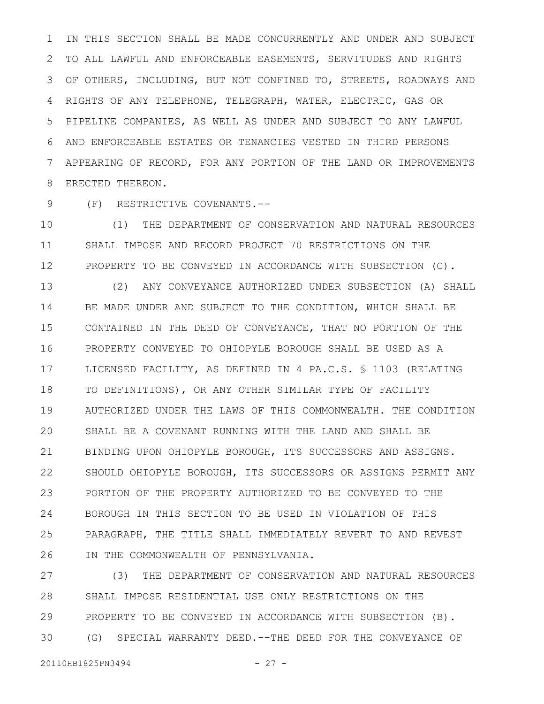IN THIS SECTION SHALL BE MADE CONCURRENTLY AND UNDER AND SUBJECT TO ALL LAWFUL AND ENFORCEABLE EASEMENTS, SERVITUDES AND RIGHTS OF OTHERS, INCLUDING, BUT NOT CONFINED TO, STREETS, ROADWAYS AND RIGHTS OF ANY TELEPHONE, TELEGRAPH, WATER, ELECTRIC, GAS OR PIPELINE COMPANIES, AS WELL AS UNDER AND SUBJECT TO ANY LAWFUL AND ENFORCEABLE ESTATES OR TENANCIES VESTED IN THIRD PERSONS APPEARING OF RECORD, FOR ANY PORTION OF THE LAND OR IMPROVEMENTS ERECTED THEREON. 1 2 3 4 5 6 7 8

(F) RESTRICTIVE COVENANTS.-- 9

(1) THE DEPARTMENT OF CONSERVATION AND NATURAL RESOURCES SHALL IMPOSE AND RECORD PROJECT 70 RESTRICTIONS ON THE PROPERTY TO BE CONVEYED IN ACCORDANCE WITH SUBSECTION (C). 10 11 12

(2) ANY CONVEYANCE AUTHORIZED UNDER SUBSECTION (A) SHALL BE MADE UNDER AND SUBJECT TO THE CONDITION, WHICH SHALL BE CONTAINED IN THE DEED OF CONVEYANCE, THAT NO PORTION OF THE PROPERTY CONVEYED TO OHIOPYLE BOROUGH SHALL BE USED AS A LICENSED FACILITY, AS DEFINED IN 4 PA.C.S. § 1103 (RELATING TO DEFINITIONS), OR ANY OTHER SIMILAR TYPE OF FACILITY AUTHORIZED UNDER THE LAWS OF THIS COMMONWEALTH. THE CONDITION SHALL BE A COVENANT RUNNING WITH THE LAND AND SHALL BE BINDING UPON OHIOPYLE BOROUGH, ITS SUCCESSORS AND ASSIGNS. SHOULD OHIOPYLE BOROUGH, ITS SUCCESSORS OR ASSIGNS PERMIT ANY PORTION OF THE PROPERTY AUTHORIZED TO BE CONVEYED TO THE BOROUGH IN THIS SECTION TO BE USED IN VIOLATION OF THIS PARAGRAPH, THE TITLE SHALL IMMEDIATELY REVERT TO AND REVEST IN THE COMMONWEALTH OF PENNSYLVANIA. 13 14 15 16 17 18 19 20 21 22 23 24 25 26

(3) THE DEPARTMENT OF CONSERVATION AND NATURAL RESOURCES SHALL IMPOSE RESIDENTIAL USE ONLY RESTRICTIONS ON THE PROPERTY TO BE CONVEYED IN ACCORDANCE WITH SUBSECTION (B). (G) SPECIAL WARRANTY DEED.--THE DEED FOR THE CONVEYANCE OF 27 28 29 30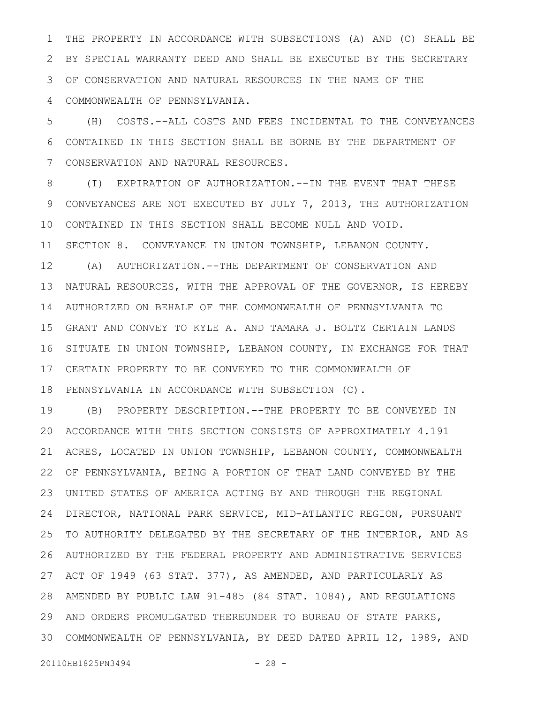THE PROPERTY IN ACCORDANCE WITH SUBSECTIONS (A) AND (C) SHALL BE BY SPECIAL WARRANTY DEED AND SHALL BE EXECUTED BY THE SECRETARY OF CONSERVATION AND NATURAL RESOURCES IN THE NAME OF THE COMMONWEALTH OF PENNSYLVANIA. 1 2 3 4

(H) COSTS.--ALL COSTS AND FEES INCIDENTAL TO THE CONVEYANCES CONTAINED IN THIS SECTION SHALL BE BORNE BY THE DEPARTMENT OF CONSERVATION AND NATURAL RESOURCES. 5 6 7

(I) EXPIRATION OF AUTHORIZATION.--IN THE EVENT THAT THESE CONVEYANCES ARE NOT EXECUTED BY JULY 7, 2013, THE AUTHORIZATION CONTAINED IN THIS SECTION SHALL BECOME NULL AND VOID. 10 SECTION 8. CONVEYANCE IN UNION TOWNSHIP, LEBANON COUNTY. 8 9 11

(A) AUTHORIZATION.--THE DEPARTMENT OF CONSERVATION AND NATURAL RESOURCES, WITH THE APPROVAL OF THE GOVERNOR, IS HEREBY AUTHORIZED ON BEHALF OF THE COMMONWEALTH OF PENNSYLVANIA TO GRANT AND CONVEY TO KYLE A. AND TAMARA J. BOLTZ CERTAIN LANDS 16 SITUATE IN UNION TOWNSHIP, LEBANON COUNTY, IN EXCHANGE FOR THAT CERTAIN PROPERTY TO BE CONVEYED TO THE COMMONWEALTH OF 17 18 PENNSYLVANIA IN ACCORDANCE WITH SUBSECTION (C). 12 13 14 15

(B) PROPERTY DESCRIPTION.--THE PROPERTY TO BE CONVEYED IN ACCORDANCE WITH THIS SECTION CONSISTS OF APPROXIMATELY 4.191 ACRES, LOCATED IN UNION TOWNSHIP, LEBANON COUNTY, COMMONWEALTH OF PENNSYLVANIA, BEING A PORTION OF THAT LAND CONVEYED BY THE UNITED STATES OF AMERICA ACTING BY AND THROUGH THE REGIONAL DIRECTOR, NATIONAL PARK SERVICE, MID-ATLANTIC REGION, PURSUANT TO AUTHORITY DELEGATED BY THE SECRETARY OF THE INTERIOR, AND AS AUTHORIZED BY THE FEDERAL PROPERTY AND ADMINISTRATIVE SERVICES 27 ACT OF 1949 (63 STAT. 377), AS AMENDED, AND PARTICULARLY AS AMENDED BY PUBLIC LAW 91-485 (84 STAT. 1084), AND REGULATIONS 28 AND ORDERS PROMULGATED THEREUNDER TO BUREAU OF STATE PARKS, 29 COMMONWEALTH OF PENNSYLVANIA, BY DEED DATED APRIL 12, 1989, AND 3019 20 21 22 23 24 25 26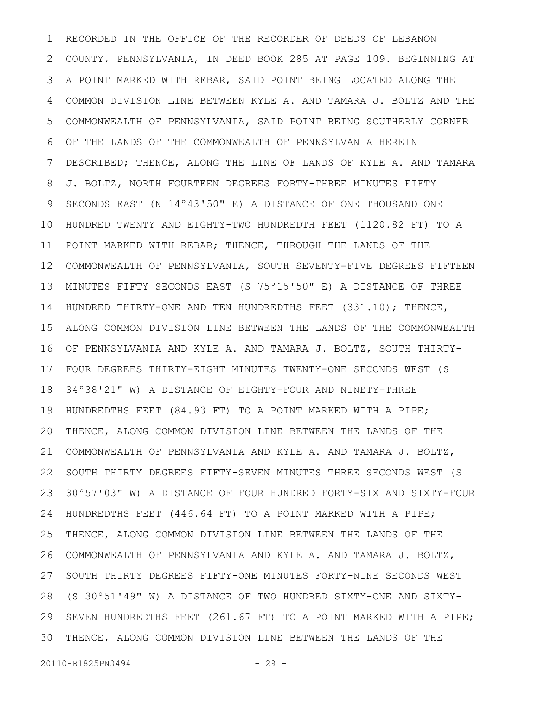RECORDED IN THE OFFICE OF THE RECORDER OF DEEDS OF LEBANON COUNTY, PENNSYLVANIA, IN DEED BOOK 285 AT PAGE 109. BEGINNING AT A POINT MARKED WITH REBAR, SAID POINT BEING LOCATED ALONG THE COMMON DIVISION LINE BETWEEN KYLE A. AND TAMARA J. BOLTZ AND THE COMMONWEALTH OF PENNSYLVANIA, SAID POINT BEING SOUTHERLY CORNER OF THE LANDS OF THE COMMONWEALTH OF PENNSYLVANIA HEREIN DESCRIBED; THENCE, ALONG THE LINE OF LANDS OF KYLE A. AND TAMARA J. BOLTZ, NORTH FOURTEEN DEGREES FORTY-THREE MINUTES FIFTY SECONDS EAST (N 14º43'50" E) A DISTANCE OF ONE THOUSAND ONE HUNDRED TWENTY AND EIGHTY-TWO HUNDREDTH FEET (1120.82 FT) TO A POINT MARKED WITH REBAR; THENCE, THROUGH THE LANDS OF THE COMMONWEALTH OF PENNSYLVANIA, SOUTH SEVENTY-FIVE DEGREES FIFTEEN 12 MINUTES FIFTY SECONDS EAST (S 75º15'50" E) A DISTANCE OF THREE HUNDRED THIRTY-ONE AND TEN HUNDREDTHS FEET  $(331.10)$ ; THENCE, ALONG COMMON DIVISION LINE BETWEEN THE LANDS OF THE COMMONWEALTH OF PENNSYLVANIA AND KYLE A. AND TAMARA J. BOLTZ, SOUTH THIRTY-FOUR DEGREES THIRTY-EIGHT MINUTES TWENTY-ONE SECONDS WEST (S 34º38'21" W) A DISTANCE OF EIGHTY-FOUR AND NINETY-THREE HUNDREDTHS FEET (84.93 FT) TO A POINT MARKED WITH A PIPE; THENCE, ALONG COMMON DIVISION LINE BETWEEN THE LANDS OF THE COMMONWEALTH OF PENNSYLVANIA AND KYLE A. AND TAMARA J. BOLTZ, SOUTH THIRTY DEGREES FIFTY-SEVEN MINUTES THREE SECONDS WEST (S 30º57'03" W) A DISTANCE OF FOUR HUNDRED FORTY-SIX AND SIXTY-FOUR HUNDREDTHS FEET (446.64 FT) TO A POINT MARKED WITH A PIPE; THENCE, ALONG COMMON DIVISION LINE BETWEEN THE LANDS OF THE COMMONWEALTH OF PENNSYLVANIA AND KYLE A. AND TAMARA J. BOLTZ, SOUTH THIRTY DEGREES FIFTY-ONE MINUTES FORTY-NINE SECONDS WEST (S 30º51'49" W) A DISTANCE OF TWO HUNDRED SIXTY-ONE AND SIXTY-SEVEN HUNDREDTHS FEET (261.67 FT) TO A POINT MARKED WITH A PIPE; THENCE, ALONG COMMON DIVISION LINE BETWEEN THE LANDS OF THE 1 2 3 4 5 6 7 8 9 10 11 13 14 15 16 17 18 19 20 21 22 23 24 25 26 27 28 29 30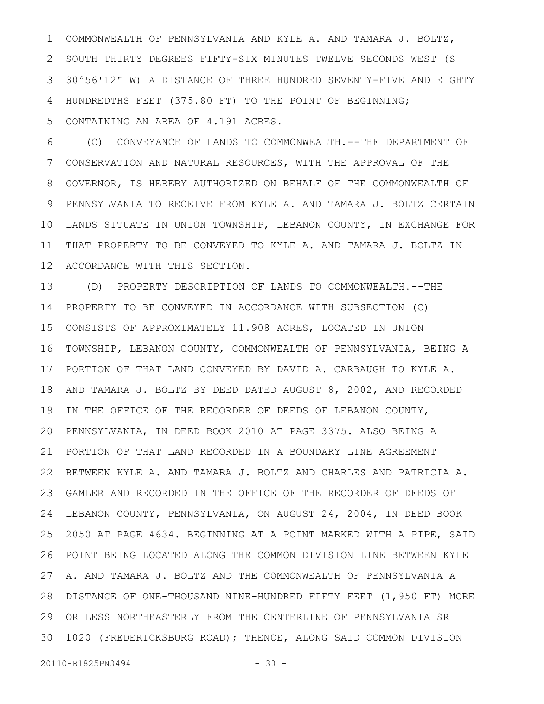COMMONWEALTH OF PENNSYLVANIA AND KYLE A. AND TAMARA J. BOLTZ, 2 SOUTH THIRTY DEGREES FIFTY-SIX MINUTES TWELVE SECONDS WEST (S 30º56'12" W) A DISTANCE OF THREE HUNDRED SEVENTY-FIVE AND EIGHTY HUNDREDTHS FEET (375.80 FT) TO THE POINT OF BEGINNING; CONTAINING AN AREA OF 4.191 ACRES. 1 3 4 5

(C) CONVEYANCE OF LANDS TO COMMONWEALTH.--THE DEPARTMENT OF CONSERVATION AND NATURAL RESOURCES, WITH THE APPROVAL OF THE GOVERNOR, IS HEREBY AUTHORIZED ON BEHALF OF THE COMMONWEALTH OF PENNSYLVANIA TO RECEIVE FROM KYLE A. AND TAMARA J. BOLTZ CERTAIN LANDS SITUATE IN UNION TOWNSHIP, LEBANON COUNTY, IN EXCHANGE FOR THAT PROPERTY TO BE CONVEYED TO KYLE A. AND TAMARA J. BOLTZ IN ACCORDANCE WITH THIS SECTION. 6 7 8 9 10 11 12

(D) PROPERTY DESCRIPTION OF LANDS TO COMMONWEALTH.--THE PROPERTY TO BE CONVEYED IN ACCORDANCE WITH SUBSECTION (C) CONSISTS OF APPROXIMATELY 11.908 ACRES, LOCATED IN UNION TOWNSHIP, LEBANON COUNTY, COMMONWEALTH OF PENNSYLVANIA, BEING A PORTION OF THAT LAND CONVEYED BY DAVID A. CARBAUGH TO KYLE A. AND TAMARA J. BOLTZ BY DEED DATED AUGUST 8, 2002, AND RECORDED IN THE OFFICE OF THE RECORDER OF DEEDS OF LEBANON COUNTY, PENNSYLVANIA, IN DEED BOOK 2010 AT PAGE 3375. ALSO BEING A PORTION OF THAT LAND RECORDED IN A BOUNDARY LINE AGREEMENT BETWEEN KYLE A. AND TAMARA J. BOLTZ AND CHARLES AND PATRICIA A. GAMLER AND RECORDED IN THE OFFICE OF THE RECORDER OF DEEDS OF LEBANON COUNTY, PENNSYLVANIA, ON AUGUST 24, 2004, IN DEED BOOK 2050 AT PAGE 4634. BEGINNING AT A POINT MARKED WITH A PIPE, SAID POINT BEING LOCATED ALONG THE COMMON DIVISION LINE BETWEEN KYLE A. AND TAMARA J. BOLTZ AND THE COMMONWEALTH OF PENNSYLVANIA A DISTANCE OF ONE-THOUSAND NINE-HUNDRED FIFTY FEET (1,950 FT) MORE 28 OR LESS NORTHEASTERLY FROM THE CENTERLINE OF PENNSYLVANIA SR 29 1020 (FREDERICKSBURG ROAD); THENCE, ALONG SAID COMMON DIVISION 3013 14 15 16 17 18 19 20 21 22 23 24 25 26 27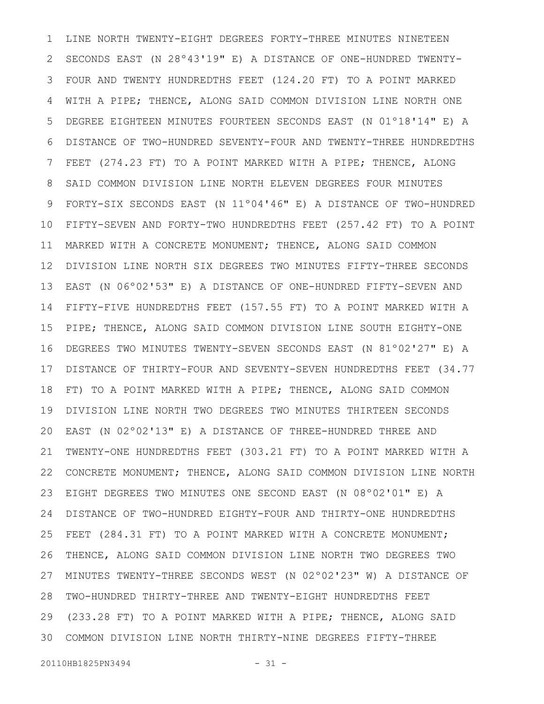LINE NORTH TWENTY-EIGHT DEGREES FORTY-THREE MINUTES NINETEEN SECONDS EAST (N 28º43'19" E) A DISTANCE OF ONE-HUNDRED TWENTY-FOUR AND TWENTY HUNDREDTHS FEET (124.20 FT) TO A POINT MARKED WITH A PIPE; THENCE, ALONG SAID COMMON DIVISION LINE NORTH ONE DEGREE EIGHTEEN MINUTES FOURTEEN SECONDS EAST (N 01º18'14" E) A DISTANCE OF TWO-HUNDRED SEVENTY-FOUR AND TWENTY-THREE HUNDREDTHS FEET (274.23 FT) TO A POINT MARKED WITH A PIPE; THENCE, ALONG SAID COMMON DIVISION LINE NORTH ELEVEN DEGREES FOUR MINUTES FORTY-SIX SECONDS EAST (N 11º04'46" E) A DISTANCE OF TWO-HUNDRED FIFTY-SEVEN AND FORTY-TWO HUNDREDTHS FEET (257.42 FT) TO A POINT MARKED WITH A CONCRETE MONUMENT; THENCE, ALONG SAID COMMON DIVISION LINE NORTH SIX DEGREES TWO MINUTES FIFTY-THREE SECONDS EAST (N 06º02'53" E) A DISTANCE OF ONE-HUNDRED FIFTY-SEVEN AND FIFTY-FIVE HUNDREDTHS FEET (157.55 FT) TO A POINT MARKED WITH A PIPE; THENCE, ALONG SAID COMMON DIVISION LINE SOUTH EIGHTY-ONE DEGREES TWO MINUTES TWENTY-SEVEN SECONDS EAST (N 81º02'27" E) A DISTANCE OF THIRTY-FOUR AND SEVENTY-SEVEN HUNDREDTHS FEET (34.77 FT) TO A POINT MARKED WITH A PIPE; THENCE, ALONG SAID COMMON DIVISION LINE NORTH TWO DEGREES TWO MINUTES THIRTEEN SECONDS EAST (N 02º02'13" E) A DISTANCE OF THREE-HUNDRED THREE AND TWENTY-ONE HUNDREDTHS FEET (303.21 FT) TO A POINT MARKED WITH A CONCRETE MONUMENT; THENCE, ALONG SAID COMMON DIVISION LINE NORTH EIGHT DEGREES TWO MINUTES ONE SECOND EAST (N 08º02'01" E) A DISTANCE OF TWO-HUNDRED EIGHTY-FOUR AND THIRTY-ONE HUNDREDTHS FEET (284.31 FT) TO A POINT MARKED WITH A CONCRETE MONUMENT; THENCE, ALONG SAID COMMON DIVISION LINE NORTH TWO DEGREES TWO MINUTES TWENTY-THREE SECONDS WEST (N 02º02'23" W) A DISTANCE OF TWO-HUNDRED THIRTY-THREE AND TWENTY-EIGHT HUNDREDTHS FEET (233.28 FT) TO A POINT MARKED WITH A PIPE; THENCE, ALONG SAID COMMON DIVISION LINE NORTH THIRTY-NINE DEGREES FIFTY-THREE 301 2 3 4 5 6 7 8 9 10 11 12 13 14 15 16 17 18 19 20 21 22 23 24 25 26 27 28 29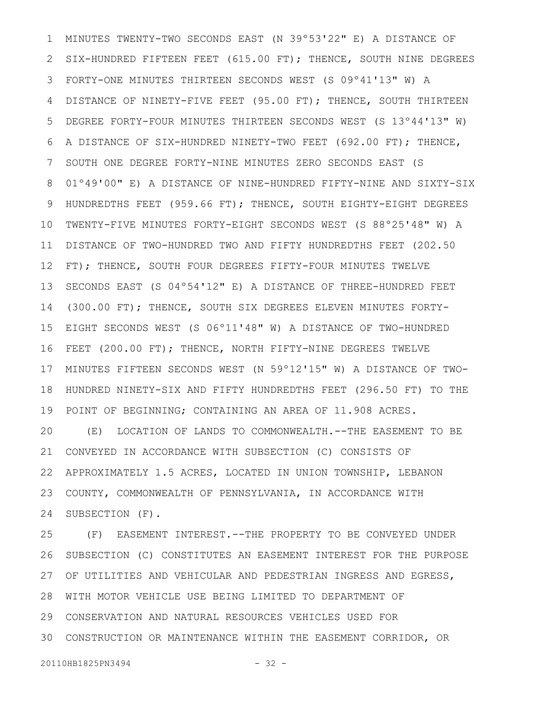MINUTES TWENTY-TWO SECONDS EAST (N 39º53'22" E) A DISTANCE OF SIX-HUNDRED FIFTEEN FEET (615.00 FT); THENCE, SOUTH NINE DEGREES FORTY-ONE MINUTES THIRTEEN SECONDS WEST (S 09º41'13" W) A DISTANCE OF NINETY-FIVE FEET (95.00 FT); THENCE, SOUTH THIRTEEN DEGREE FORTY-FOUR MINUTES THIRTEEN SECONDS WEST (S 13º44'13" W) A DISTANCE OF SIX-HUNDRED NINETY-TWO FEET (692.00 FT); THENCE, SOUTH ONE DEGREE FORTY-NINE MINUTES ZERO SECONDS EAST (S 01º49'00" E) A DISTANCE OF NINE-HUNDRED FIFTY-NINE AND SIXTY-SIX HUNDREDTHS FEET (959.66 FT); THENCE, SOUTH EIGHTY-EIGHT DEGREES TWENTY-FIVE MINUTES FORTY-EIGHT SECONDS WEST (S 88º25'48" W) A DISTANCE OF TWO-HUNDRED TWO AND FIFTY HUNDREDTHS FEET (202.50 FT); THENCE, SOUTH FOUR DEGREES FIFTY-FOUR MINUTES TWELVE SECONDS EAST (S 04º54'12" E) A DISTANCE OF THREE-HUNDRED FEET (300.00 FT); THENCE, SOUTH SIX DEGREES ELEVEN MINUTES FORTY-EIGHT SECONDS WEST (S 06º11'48" W) A DISTANCE OF TWO-HUNDRED FEET (200.00 FT); THENCE, NORTH FIFTY-NINE DEGREES TWELVE MINUTES FIFTEEN SECONDS WEST (N 59º12'15" W) A DISTANCE OF TWO-HUNDRED NINETY-SIX AND FIFTY HUNDREDTHS FEET (296.50 FT) TO THE POINT OF BEGINNING; CONTAINING AN AREA OF 11.908 ACRES. (E) LOCATION OF LANDS TO COMMONWEALTH.--THE EASEMENT TO BE CONVEYED IN ACCORDANCE WITH SUBSECTION (C) CONSISTS OF APPROXIMATELY 1.5 ACRES, LOCATED IN UNION TOWNSHIP, LEBANON COUNTY, COMMONWEALTH OF PENNSYLVANIA, IN ACCORDANCE WITH SUBSECTION (F). 1 2 3 4 5 6 7 8 9 10 11 12 13 14 15 16 17 18 19 20 21 22 23 24

(F) EASEMENT INTEREST.--THE PROPERTY TO BE CONVEYED UNDER SUBSECTION (C) CONSTITUTES AN EASEMENT INTEREST FOR THE PURPOSE OF UTILITIES AND VEHICULAR AND PEDESTRIAN INGRESS AND EGRESS, WITH MOTOR VEHICLE USE BEING LIMITED TO DEPARTMENT OF CONSERVATION AND NATURAL RESOURCES VEHICLES USED FOR CONSTRUCTION OR MAINTENANCE WITHIN THE EASEMENT CORRIDOR, OR 3025 26 27 28 29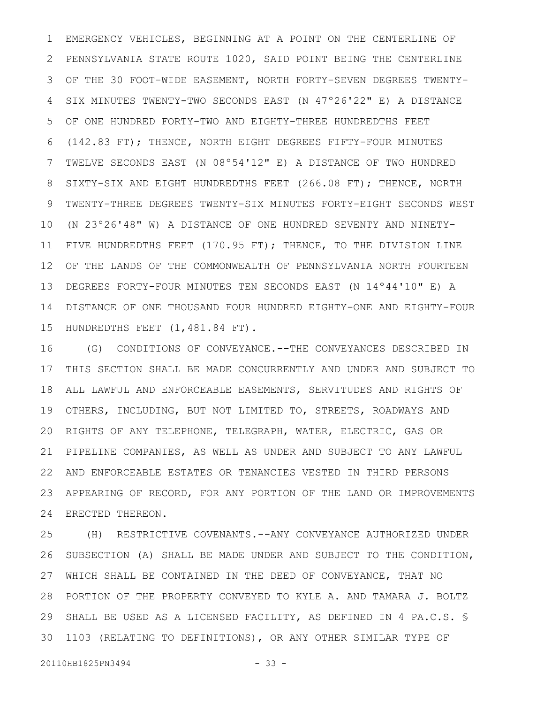EMERGENCY VEHICLES, BEGINNING AT A POINT ON THE CENTERLINE OF PENNSYLVANIA STATE ROUTE 1020, SAID POINT BEING THE CENTERLINE OF THE 30 FOOT-WIDE EASEMENT, NORTH FORTY-SEVEN DEGREES TWENTY-SIX MINUTES TWENTY-TWO SECONDS EAST (N 47º26'22" E) A DISTANCE OF ONE HUNDRED FORTY-TWO AND EIGHTY-THREE HUNDREDTHS FEET (142.83 FT); THENCE, NORTH EIGHT DEGREES FIFTY-FOUR MINUTES TWELVE SECONDS EAST (N 08º54'12" E) A DISTANCE OF TWO HUNDRED SIXTY-SIX AND EIGHT HUNDREDTHS FEET (266.08 FT); THENCE, NORTH TWENTY-THREE DEGREES TWENTY-SIX MINUTES FORTY-EIGHT SECONDS WEST (N 23º26'48" W) A DISTANCE OF ONE HUNDRED SEVENTY AND NINETY-FIVE HUNDREDTHS FEET (170.95 FT); THENCE, TO THE DIVISION LINE OF THE LANDS OF THE COMMONWEALTH OF PENNSYLVANIA NORTH FOURTEEN DEGREES FORTY-FOUR MINUTES TEN SECONDS EAST (N 14º44'10" E) A DISTANCE OF ONE THOUSAND FOUR HUNDRED EIGHTY-ONE AND EIGHTY-FOUR HUNDREDTHS FEET (1,481.84 FT). 1 2 3 4 5 6 7 8 9 10 11 12 13 14 15

(G) CONDITIONS OF CONVEYANCE.--THE CONVEYANCES DESCRIBED IN THIS SECTION SHALL BE MADE CONCURRENTLY AND UNDER AND SUBJECT TO ALL LAWFUL AND ENFORCEABLE EASEMENTS, SERVITUDES AND RIGHTS OF OTHERS, INCLUDING, BUT NOT LIMITED TO, STREETS, ROADWAYS AND RIGHTS OF ANY TELEPHONE, TELEGRAPH, WATER, ELECTRIC, GAS OR PIPELINE COMPANIES, AS WELL AS UNDER AND SUBJECT TO ANY LAWFUL AND ENFORCEABLE ESTATES OR TENANCIES VESTED IN THIRD PERSONS APPEARING OF RECORD, FOR ANY PORTION OF THE LAND OR IMPROVEMENTS ERECTED THEREON. 16 17 18 19 20 21 22 23 24

(H) RESTRICTIVE COVENANTS.--ANY CONVEYANCE AUTHORIZED UNDER SUBSECTION (A) SHALL BE MADE UNDER AND SUBJECT TO THE CONDITION, WHICH SHALL BE CONTAINED IN THE DEED OF CONVEYANCE, THAT NO PORTION OF THE PROPERTY CONVEYED TO KYLE A. AND TAMARA J. BOLTZ SHALL BE USED AS A LICENSED FACILITY, AS DEFINED IN 4 PA.C.S. \$ 1103 (RELATING TO DEFINITIONS), OR ANY OTHER SIMILAR TYPE OF 25 26 27 28 29 30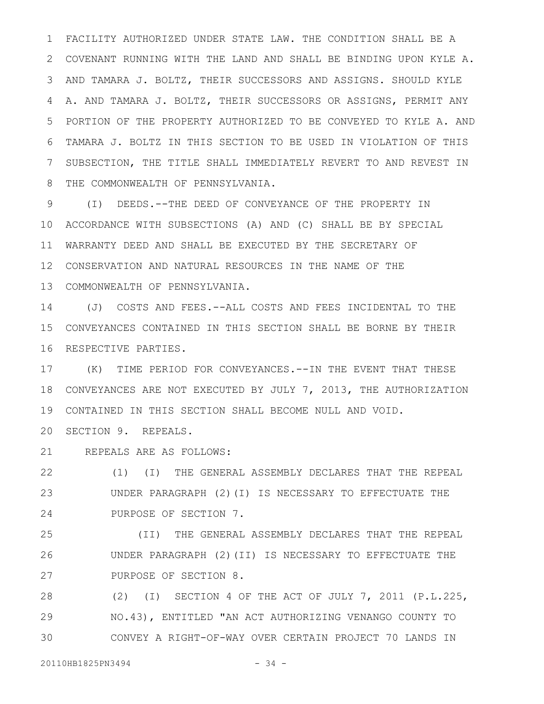FACILITY AUTHORIZED UNDER STATE LAW. THE CONDITION SHALL BE A COVENANT RUNNING WITH THE LAND AND SHALL BE BINDING UPON KYLE A. AND TAMARA J. BOLTZ, THEIR SUCCESSORS AND ASSIGNS. SHOULD KYLE A. AND TAMARA J. BOLTZ, THEIR SUCCESSORS OR ASSIGNS, PERMIT ANY PORTION OF THE PROPERTY AUTHORIZED TO BE CONVEYED TO KYLE A. AND TAMARA J. BOLTZ IN THIS SECTION TO BE USED IN VIOLATION OF THIS SUBSECTION, THE TITLE SHALL IMMEDIATELY REVERT TO AND REVEST IN THE COMMONWEALTH OF PENNSYLVANIA. 1 2 3 4 5 6 7 8

(I) DEEDS.--THE DEED OF CONVEYANCE OF THE PROPERTY IN ACCORDANCE WITH SUBSECTIONS (A) AND (C) SHALL BE BY SPECIAL 10 WARRANTY DEED AND SHALL BE EXECUTED BY THE SECRETARY OF 12 CONSERVATION AND NATURAL RESOURCES IN THE NAME OF THE COMMONWEALTH OF PENNSYLVANIA. 13 9 11

(J) COSTS AND FEES.--ALL COSTS AND FEES INCIDENTAL TO THE CONVEYANCES CONTAINED IN THIS SECTION SHALL BE BORNE BY THEIR 15 16 RESPECTIVE PARTIES. 14

(K) TIME PERIOD FOR CONVEYANCES.--IN THE EVENT THAT THESE 18 CONVEYANCES ARE NOT EXECUTED BY JULY 7, 2013, THE AUTHORIZATION CONTAINED IN THIS SECTION SHALL BECOME NULL AND VOID. 19 17

20 SECTION 9. REPEALS.

REPEALS ARE AS FOLLOWS: 21

(1) (I) THE GENERAL ASSEMBLY DECLARES THAT THE REPEAL UNDER PARAGRAPH (2)(I) IS NECESSARY TO EFFECTUATE THE PURPOSE OF SECTION 7. 22 23 24

(II) THE GENERAL ASSEMBLY DECLARES THAT THE REPEAL UNDER PARAGRAPH (2)(II) IS NECESSARY TO EFFECTUATE THE PURPOSE OF SECTION 8. 25 26 27

(2) (I) SECTION 4 OF THE ACT OF JULY 7, 2011 (P.L.225, NO.43), ENTITLED "AN ACT AUTHORIZING VENANGO COUNTY TO CONVEY A RIGHT-OF-WAY OVER CERTAIN PROJECT 70 LANDS IN 28 29 30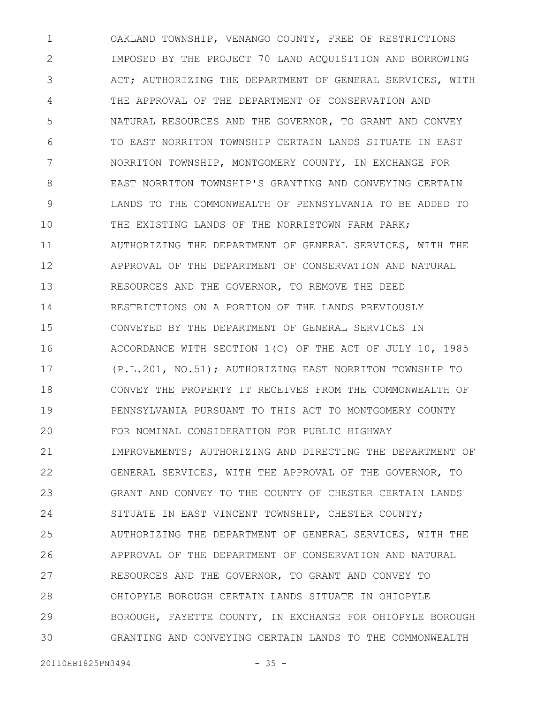OAKLAND TOWNSHIP, VENANGO COUNTY, FREE OF RESTRICTIONS IMPOSED BY THE PROJECT 70 LAND ACQUISITION AND BORROWING ACT; AUTHORIZING THE DEPARTMENT OF GENERAL SERVICES, WITH THE APPROVAL OF THE DEPARTMENT OF CONSERVATION AND NATURAL RESOURCES AND THE GOVERNOR, TO GRANT AND CONVEY TO EAST NORRITON TOWNSHIP CERTAIN LANDS SITUATE IN EAST NORRITON TOWNSHIP, MONTGOMERY COUNTY, IN EXCHANGE FOR EAST NORRITON TOWNSHIP'S GRANTING AND CONVEYING CERTAIN LANDS TO THE COMMONWEALTH OF PENNSYLVANIA TO BE ADDED TO THE EXISTING LANDS OF THE NORRISTOWN FARM PARK; AUTHORIZING THE DEPARTMENT OF GENERAL SERVICES, WITH THE APPROVAL OF THE DEPARTMENT OF CONSERVATION AND NATURAL RESOURCES AND THE GOVERNOR, TO REMOVE THE DEED RESTRICTIONS ON A PORTION OF THE LANDS PREVIOUSLY CONVEYED BY THE DEPARTMENT OF GENERAL SERVICES IN ACCORDANCE WITH SECTION 1(C) OF THE ACT OF JULY 10, 1985 (P.L.201, NO.51); AUTHORIZING EAST NORRITON TOWNSHIP TO CONVEY THE PROPERTY IT RECEIVES FROM THE COMMONWEALTH OF PENNSYLVANIA PURSUANT TO THIS ACT TO MONTGOMERY COUNTY FOR NOMINAL CONSIDERATION FOR PUBLIC HIGHWAY IMPROVEMENTS; AUTHORIZING AND DIRECTING THE DEPARTMENT OF GENERAL SERVICES, WITH THE APPROVAL OF THE GOVERNOR, TO GRANT AND CONVEY TO THE COUNTY OF CHESTER CERTAIN LANDS SITUATE IN EAST VINCENT TOWNSHIP, CHESTER COUNTY; AUTHORIZING THE DEPARTMENT OF GENERAL SERVICES, WITH THE APPROVAL OF THE DEPARTMENT OF CONSERVATION AND NATURAL RESOURCES AND THE GOVERNOR, TO GRANT AND CONVEY TO OHIOPYLE BOROUGH CERTAIN LANDS SITUATE IN OHIOPYLE BOROUGH, FAYETTE COUNTY, IN EXCHANGE FOR OHIOPYLE BOROUGH GRANTING AND CONVEYING CERTAIN LANDS TO THE COMMONWEALTH 1 2 3 4 5 6 7 8 9 10 11 12 13 14 15 16 17 18 19 20 21 22 23 24 25 26 27 28 29 30